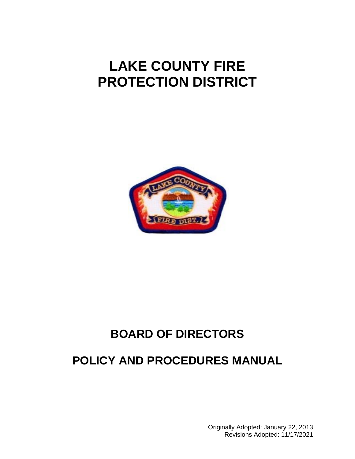# **LAKE COUNTY FIRE PROTECTION DISTRICT**



## **BOARD OF DIRECTORS**

## **POLICY AND PROCEDURES MANUAL**

Originally Adopted: January 22, 2013 Revisions Adopted: 11/17/2021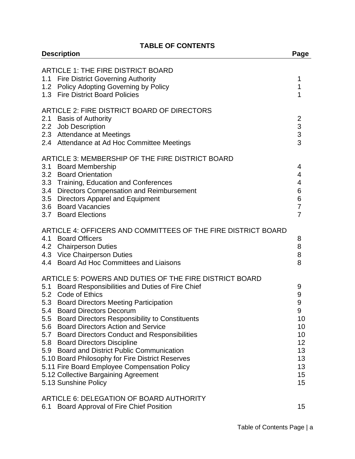## **TABLE OF CONTENTS**

| <b>Description</b>                                                                                                                                                                                                                                                                                                                                                                                                                                                                                                                                                                                                                                         | Page                                                                   |
|------------------------------------------------------------------------------------------------------------------------------------------------------------------------------------------------------------------------------------------------------------------------------------------------------------------------------------------------------------------------------------------------------------------------------------------------------------------------------------------------------------------------------------------------------------------------------------------------------------------------------------------------------------|------------------------------------------------------------------------|
| <b>ARTICLE 1: THE FIRE DISTRICT BOARD</b><br>1.1 Fire District Governing Authority<br>1.2 Policy Adopting Governing by Policy<br>1.3 Fire District Board Policies                                                                                                                                                                                                                                                                                                                                                                                                                                                                                          | 1<br>1<br>1                                                            |
| ARTICLE 2: FIRE DISTRICT BOARD OF DIRECTORS<br><b>Basis of Authority</b><br>2.1<br>2.2 Job Description<br>2.3 Attendance at Meetings<br>2.4 Attendance at Ad Hoc Committee Meetings                                                                                                                                                                                                                                                                                                                                                                                                                                                                        | 2<br>$\begin{array}{c} 3 \\ 3 \end{array}$                             |
| ARTICLE 3: MEMBERSHIP OF THE FIRE DISTRICT BOARD<br><b>Board Membership</b><br>3.1<br>3.2 Board Orientation<br>3.3 Training, Education and Conferences<br>3.4 Directors Compensation and Reimbursement<br>3.5 Directors Apparel and Equipment<br>3.6 Board Vacancies<br>3.7 Board Elections                                                                                                                                                                                                                                                                                                                                                                | 4<br>4<br>4<br>6<br>6<br>$\overline{7}$<br>$\overline{7}$              |
| ARTICLE 4: OFFICERS AND COMMITTEES OF THE FIRE DISTRICT BOARD<br>4.1 Board Officers<br>4.2 Chairperson Duties<br>4.3 Vice Chairperson Duties<br>4.4 Board Ad Hoc Committees and Liaisons                                                                                                                                                                                                                                                                                                                                                                                                                                                                   | 8<br>8<br>8<br>8                                                       |
| ARTICLE 5: POWERS AND DUTIES OF THE FIRE DISTRICT BOARD<br>Board Responsibilities and Duties of Fire Chief<br>5.1<br><b>Code of Ethics</b><br>5.2<br>5.3 Board Directors Meeting Participation<br>5.4 Board Directors Decorum<br><b>Board Directors Responsibility to Constituents</b><br>5.5<br><b>Board Directors Action and Service</b><br>5.6<br>5.7 Board Directors Conduct and Responsibilities<br>5.8 Board Directors Discipline<br>5.9 Board and District Public Communication<br>5.10 Board Philosophy for Fire District Reserves<br>5.11 Fire Board Employee Compensation Policy<br>5.12 Collective Bargaining Agreement<br>5.13 Sunshine Policy | 9<br>9<br>9<br>9<br>10<br>10<br>10<br>12<br>13<br>13<br>13<br>15<br>15 |
| ARTICLE 6: DELEGATION OF BOARD AUTHORITY<br>Board Approval of Fire Chief Position<br>6.1                                                                                                                                                                                                                                                                                                                                                                                                                                                                                                                                                                   | 15                                                                     |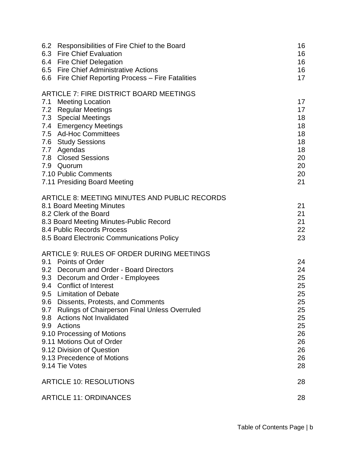| 6.2 Responsibilities of Fire Chief to the Board<br>6.3 Fire Chief Evaluation<br>6.4 Fire Chief Delegation<br>6.5 Fire Chief Administrative Actions<br>6.6 Fire Chief Reporting Process – Fire Fatalities                                                                                                                                                                                                                                                                                       | 16<br>16<br>16<br>16<br>17                                                       |
|------------------------------------------------------------------------------------------------------------------------------------------------------------------------------------------------------------------------------------------------------------------------------------------------------------------------------------------------------------------------------------------------------------------------------------------------------------------------------------------------|----------------------------------------------------------------------------------|
| ARTICLE 7: FIRE DISTRICT BOARD MEETINGS<br><b>Meeting Location</b><br>7.1<br>7.2 Regular Meetings<br>7.3 Special Meetings<br>7.4 Emergency Meetings<br>7.5 Ad-Hoc Committees<br>7.6 Study Sessions<br>7.7 Agendas<br>7.8 Closed Sessions<br>7.9 Quorum<br>7.10 Public Comments<br>7.11 Presiding Board Meeting                                                                                                                                                                                 | 17<br>17<br>18<br>18<br>18<br>18<br>18<br>20<br>20<br>20<br>21                   |
| ARTICLE 8: MEETING MINUTES AND PUBLIC RECORDS<br>8.1 Board Meeting Minutes<br>8.2 Clerk of the Board<br>8.3 Board Meeting Minutes-Public Record<br>8.4 Public Records Process<br>8.5 Board Electronic Communications Policy                                                                                                                                                                                                                                                                    | 21<br>21<br>21<br>22<br>23                                                       |
| ARTICLE 9: RULES OF ORDER DURING MEETINGS<br>9.1 Points of Order<br>9.2 Decorum and Order - Board Directors<br>9.3 Decorum and Order - Employees<br>9.4 Conflict of Interest<br>9.5 Limitation of Debate<br>9.6<br>Dissents, Protests, and Comments<br>9.7 Rulings of Chairperson Final Unless Overruled<br>9.8 Actions Not Invalidated<br>9.9 Actions<br>9.10 Processing of Motions<br>9.11 Motions Out of Order<br>9.12 Division of Question<br>9.13 Precedence of Motions<br>9.14 Tie Votes | 24<br>24<br>25<br>25<br>25<br>25<br>25<br>25<br>25<br>26<br>26<br>26<br>26<br>28 |
| <b>ARTICLE 10: RESOLUTIONS</b>                                                                                                                                                                                                                                                                                                                                                                                                                                                                 | 28                                                                               |
| <b>ARTICLE 11: ORDINANCES</b>                                                                                                                                                                                                                                                                                                                                                                                                                                                                  | 28                                                                               |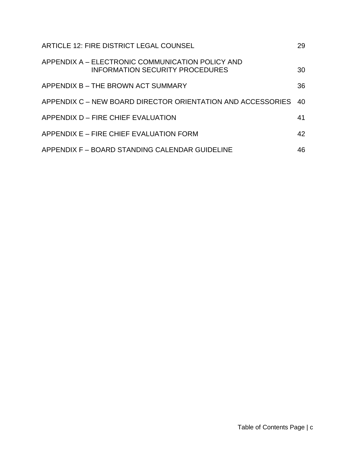| ARTICLE 12: FIRE DISTRICT LEGAL COUNSEL                                                    | 29 |
|--------------------------------------------------------------------------------------------|----|
| APPENDIX A - ELECTRONIC COMMUNICATION POLICY AND<br><b>INFORMATION SECURITY PROCEDURES</b> | 30 |
| APPENDIX B - THE BROWN ACT SUMMARY                                                         | 36 |
| APPENDIX C – NEW BOARD DIRECTOR ORIENTATION AND ACCESSORIES                                | 40 |
| APPENDIX D - FIRE CHIEF EVALUATION                                                         | 41 |
| APPENDIX E – FIRE CHIEF EVALUATION FORM                                                    | 42 |
| APPENDIX F – BOARD STANDING CALENDAR GUIDELINE                                             | 46 |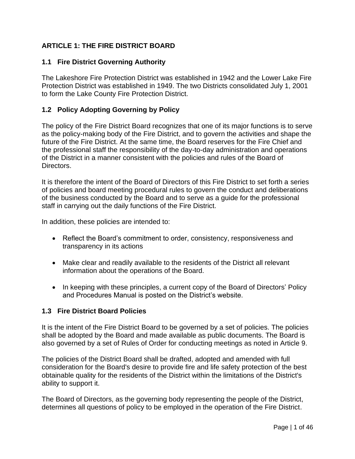## **ARTICLE 1: THE FIRE DISTRICT BOARD**

## **1.1 Fire District Governing Authority**

The Lakeshore Fire Protection District was established in 1942 and the Lower Lake Fire Protection District was established in 1949. The two Districts consolidated July 1, 2001 to form the Lake County Fire Protection District.

## **1.2 Policy Adopting Governing by Policy**

The policy of the Fire District Board recognizes that one of its major functions is to serve as the policy-making body of the Fire District, and to govern the activities and shape the future of the Fire District. At the same time, the Board reserves for the Fire Chief and the professional staff the responsibility of the day-to-day administration and operations of the District in a manner consistent with the policies and rules of the Board of Directors.

It is therefore the intent of the Board of Directors of this Fire District to set forth a series of policies and board meeting procedural rules to govern the conduct and deliberations of the business conducted by the Board and to serve as a guide for the professional staff in carrying out the daily functions of the Fire District.

In addition, these policies are intended to:

- Reflect the Board's commitment to order, consistency, responsiveness and transparency in its actions
- Make clear and readily available to the residents of the District all relevant information about the operations of the Board.
- In keeping with these principles, a current copy of the Board of Directors' Policy and Procedures Manual is posted on the District's website.

## **1.3 Fire District Board Policies**

It is the intent of the Fire District Board to be governed by a set of policies. The policies shall be adopted by the Board and made available as public documents. The Board is also governed by a set of Rules of Order for conducting meetings as noted in Article 9.

The policies of the District Board shall be drafted, adopted and amended with full consideration for the Board's desire to provide fire and life safety protection of the best obtainable quality for the residents of the District within the limitations of the District's ability to support it.

The Board of Directors, as the governing body representing the people of the District, determines all questions of policy to be employed in the operation of the Fire District.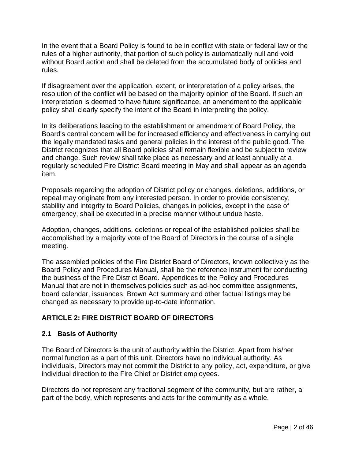In the event that a Board Policy is found to be in conflict with state or federal law or the rules of a higher authority, that portion of such policy is automatically null and void without Board action and shall be deleted from the accumulated body of policies and rules.

If disagreement over the application, extent, or interpretation of a policy arises, the resolution of the conflict will be based on the majority opinion of the Board. If such an interpretation is deemed to have future significance, an amendment to the applicable policy shall clearly specify the intent of the Board in interpreting the policy.

In its deliberations leading to the establishment or amendment of Board Policy, the Board's central concern will be for increased efficiency and effectiveness in carrying out the legally mandated tasks and general policies in the interest of the public good. The District recognizes that all Board policies shall remain flexible and be subject to review and change. Such review shall take place as necessary and at least annually at a regularly scheduled Fire District Board meeting in May and shall appear as an agenda item.

Proposals regarding the adoption of District policy or changes, deletions, additions, or repeal may originate from any interested person. In order to provide consistency, stability and integrity to Board Policies, changes in policies, except in the case of emergency, shall be executed in a precise manner without undue haste.

Adoption, changes, additions, deletions or repeal of the established policies shall be accomplished by a majority vote of the Board of Directors in the course of a single meeting.

The assembled policies of the Fire District Board of Directors, known collectively as the Board Policy and Procedures Manual, shall be the reference instrument for conducting the business of the Fire District Board. Appendices to the Policy and Procedures Manual that are not in themselves policies such as ad-hoc committee assignments, board calendar, issuances, Brown Act summary and other factual listings may be changed as necessary to provide up-to-date information.

## **ARTICLE 2: FIRE DISTRICT BOARD OF DIRECTORS**

## **2.1 Basis of Authority**

The Board of Directors is the unit of authority within the District. Apart from his/her normal function as a part of this unit, Directors have no individual authority. As individuals, Directors may not commit the District to any policy, act, expenditure, or give individual direction to the Fire Chief or District employees.

Directors do not represent any fractional segment of the community, but are rather, a part of the body, which represents and acts for the community as a whole.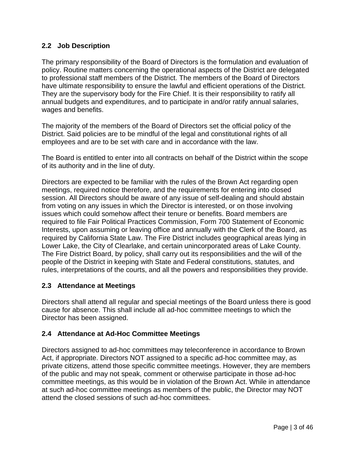## **2.2 Job Description**

The primary responsibility of the Board of Directors is the formulation and evaluation of policy. Routine matters concerning the operational aspects of the District are delegated to professional staff members of the District. The members of the Board of Directors have ultimate responsibility to ensure the lawful and efficient operations of the District. They are the supervisory body for the Fire Chief. It is their responsibility to ratify all annual budgets and expenditures, and to participate in and/or ratify annual salaries, wages and benefits.

The majority of the members of the Board of Directors set the official policy of the District. Said policies are to be mindful of the legal and constitutional rights of all employees and are to be set with care and in accordance with the law.

The Board is entitled to enter into all contracts on behalf of the District within the scope of its authority and in the line of duty.

Directors are expected to be familiar with the rules of the Brown Act regarding open meetings, required notice therefore, and the requirements for entering into closed session. All Directors should be aware of any issue of self-dealing and should abstain from voting on any issues in which the Director is interested, or on those involving issues which could somehow affect their tenure or benefits. Board members are required to file Fair Political Practices Commission, Form 700 Statement of Economic Interests, upon assuming or leaving office and annually with the Clerk of the Board, as required by California State Law. The Fire District includes geographical areas lying in Lower Lake, the City of Clearlake, and certain unincorporated areas of Lake County. The Fire District Board, by policy, shall carry out its responsibilities and the will of the people of the District in keeping with State and Federal constitutions, statutes, and rules, interpretations of the courts, and all the powers and responsibilities they provide.

### **2.3 Attendance at Meetings**

Directors shall attend all regular and special meetings of the Board unless there is good cause for absence. This shall include all ad-hoc committee meetings to which the Director has been assigned.

### **2.4 Attendance at Ad-Hoc Committee Meetings**

Directors assigned to ad-hoc committees may teleconference in accordance to Brown Act, if appropriate. Directors NOT assigned to a specific ad-hoc committee may, as private citizens, attend those specific committee meetings. However, they are members of the public and may not speak, comment or otherwise participate in those ad-hoc committee meetings, as this would be in violation of the Brown Act. While in attendance at such ad-hoc committee meetings as members of the public, the Director may NOT attend the closed sessions of such ad-hoc committees.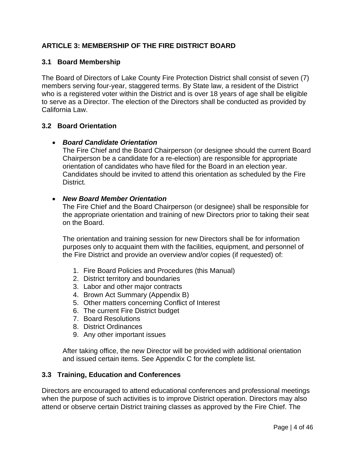## **ARTICLE 3: MEMBERSHIP OF THE FIRE DISTRICT BOARD**

## **3.1 Board Membership**

The Board of Directors of Lake County Fire Protection District shall consist of seven (7) members serving four-year, staggered terms. By State law, a resident of the District who is a registered voter within the District and is over 18 years of age shall be eligible to serve as a Director. The election of the Directors shall be conducted as provided by California Law.

### **3.2 Board Orientation**

### • *Board Candidate Orientation*

The Fire Chief and the Board Chairperson (or designee should the current Board Chairperson be a candidate for a re-election) are responsible for appropriate orientation of candidates who have filed for the Board in an election year. Candidates should be invited to attend this orientation as scheduled by the Fire District.

### • *New Board Member Orientation*

The Fire Chief and the Board Chairperson (or designee) shall be responsible for the appropriate orientation and training of new Directors prior to taking their seat on the Board.

The orientation and training session for new Directors shall be for information purposes only to acquaint them with the facilities, equipment, and personnel of the Fire District and provide an overview and/or copies (if requested) of:

- 1. Fire Board Policies and Procedures (this Manual)
- 2. District territory and boundaries
- 3. Labor and other major contracts
- 4. Brown Act Summary (Appendix B)
- 5. Other matters concerning Conflict of Interest
- 6. The current Fire District budget
- 7. Board Resolutions
- 8. District Ordinances
- 9. Any other important issues

After taking office, the new Director will be provided with additional orientation and issued certain items. See Appendix C for the complete list.

### **3.3 Training, Education and Conferences**

Directors are encouraged to attend educational conferences and professional meetings when the purpose of such activities is to improve District operation. Directors may also attend or observe certain District training classes as approved by the Fire Chief. The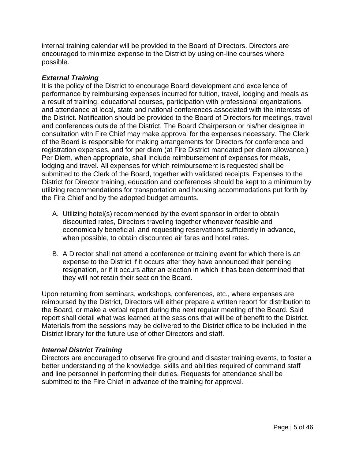internal training calendar will be provided to the Board of Directors. Directors are encouraged to minimize expense to the District by using on-line courses where possible.

### *External Training*

It is the policy of the District to encourage Board development and excellence of performance by reimbursing expenses incurred for tuition, travel, lodging and meals as a result of training, educational courses, participation with professional organizations, and attendance at local, state and national conferences associated with the interests of the District. Notification should be provided to the Board of Directors for meetings, travel and conferences outside of the District. The Board Chairperson or his/her designee in consultation with Fire Chief may make approval for the expenses necessary. The Clerk of the Board is responsible for making arrangements for Directors for conference and registration expenses, and for per diem (at Fire District mandated per diem allowance.) Per Diem, when appropriate, shall include reimbursement of expenses for meals, lodging and travel. All expenses for which reimbursement is requested shall be submitted to the Clerk of the Board, together with validated receipts. Expenses to the District for Director training, education and conferences should be kept to a minimum by utilizing recommendations for transportation and housing accommodations put forth by the Fire Chief and by the adopted budget amounts.

- A. Utilizing hotel(s) recommended by the event sponsor in order to obtain discounted rates, Directors traveling together whenever feasible and economically beneficial, and requesting reservations sufficiently in advance, when possible, to obtain discounted air fares and hotel rates.
- B. A Director shall not attend a conference or training event for which there is an expense to the District if it occurs after they have announced their pending resignation, or if it occurs after an election in which it has been determined that they will not retain their seat on the Board.

Upon returning from seminars, workshops, conferences, etc., where expenses are reimbursed by the District, Directors will either prepare a written report for distribution to the Board, or make a verbal report during the next regular meeting of the Board. Said report shall detail what was learned at the sessions that will be of benefit to the District. Materials from the sessions may be delivered to the District office to be included in the District library for the future use of other Directors and staff.

## *Internal District Training*

Directors are encouraged to observe fire ground and disaster training events, to foster a better understanding of the knowledge, skills and abilities required of command staff and line personnel in performing their duties. Requests for attendance shall be submitted to the Fire Chief in advance of the training for approval.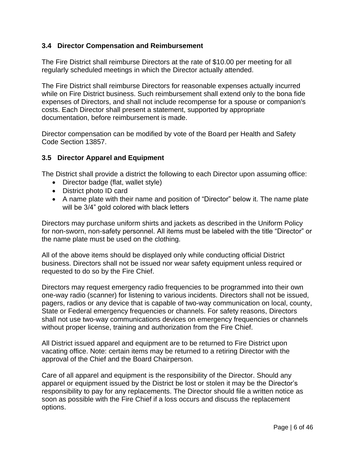## **3.4 Director Compensation and Reimbursement**

The Fire District shall reimburse Directors at the rate of \$10.00 per meeting for all regularly scheduled meetings in which the Director actually attended.

The Fire District shall reimburse Directors for reasonable expenses actually incurred while on Fire District business. Such reimbursement shall extend only to the bona fide expenses of Directors, and shall not include recompense for a spouse or companion's costs. Each Director shall present a statement, supported by appropriate documentation, before reimbursement is made.

Director compensation can be modified by vote of the Board per Health and Safety Code Section 13857.

### **3.5 Director Apparel and Equipment**

The District shall provide a district the following to each Director upon assuming office:

- Director badge (flat, wallet style)
- District photo ID card
- A name plate with their name and position of "Director" below it. The name plate will be  $3/4$ " gold colored with black letters

Directors may purchase uniform shirts and jackets as described in the Uniform Policy for non-sworn, non-safety personnel. All items must be labeled with the title "Director" or the name plate must be used on the clothing.

All of the above items should be displayed only while conducting official District business. Directors shall not be issued nor wear safety equipment unless required or requested to do so by the Fire Chief.

Directors may request emergency radio frequencies to be programmed into their own one-way radio (scanner) for listening to various incidents. Directors shall not be issued, pagers, radios or any device that is capable of two-way communication on local, county, State or Federal emergency frequencies or channels. For safety reasons, Directors shall not use two-way communications devices on emergency frequencies or channels without proper license, training and authorization from the Fire Chief.

All District issued apparel and equipment are to be returned to Fire District upon vacating office. Note: certain items may be returned to a retiring Director with the approval of the Chief and the Board Chairperson.

Care of all apparel and equipment is the responsibility of the Director. Should any apparel or equipment issued by the District be lost or stolen it may be the Director's responsibility to pay for any replacements. The Director should file a written notice as soon as possible with the Fire Chief if a loss occurs and discuss the replacement options.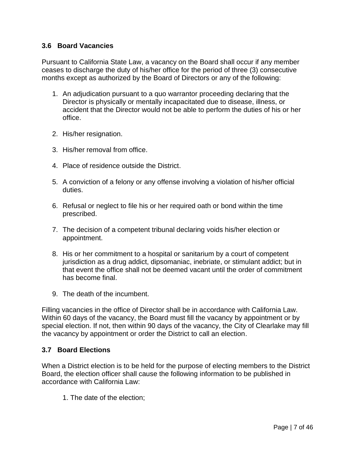## **3.6 Board Vacancies**

Pursuant to California State Law, a vacancy on the Board shall occur if any member ceases to discharge the duty of his/her office for the period of three (3) consecutive months except as authorized by the Board of Directors or any of the following:

- 1. An adjudication pursuant to a quo warrantor proceeding declaring that the Director is physically or mentally incapacitated due to disease, illness, or accident that the Director would not be able to perform the duties of his or her office.
- 2. His/her resignation.
- 3. His/her removal from office.
- 4. Place of residence outside the District.
- 5. A conviction of a felony or any offense involving a violation of his/her official duties.
- 6. Refusal or neglect to file his or her required oath or bond within the time prescribed.
- 7. The decision of a competent tribunal declaring voids his/her election or appointment.
- 8. His or her commitment to a hospital or sanitarium by a court of competent jurisdiction as a drug addict, dipsomaniac, inebriate, or stimulant addict; but in that event the office shall not be deemed vacant until the order of commitment has become final.
- 9. The death of the incumbent.

Filling vacancies in the office of Director shall be in accordance with California Law. Within 60 days of the vacancy, the Board must fill the vacancy by appointment or by special election. If not, then within 90 days of the vacancy, the City of Clearlake may fill the vacancy by appointment or order the District to call an election.

### **3.7 Board Elections**

When a District election is to be held for the purpose of electing members to the District Board, the election officer shall cause the following information to be published in accordance with California Law:

1. The date of the election;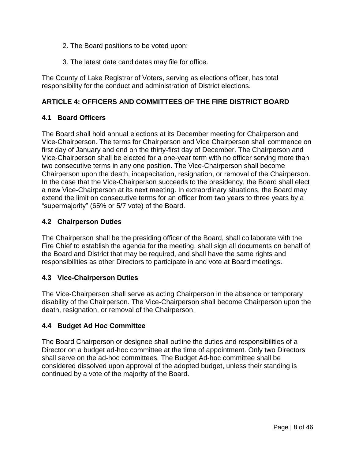- 2. The Board positions to be voted upon;
- 3. The latest date candidates may file for office.

The County of Lake Registrar of Voters, serving as elections officer, has total responsibility for the conduct and administration of District elections.

## **ARTICLE 4: OFFICERS AND COMMITTEES OF THE FIRE DISTRICT BOARD**

## **4.1 Board Officers**

The Board shall hold annual elections at its December meeting for Chairperson and Vice-Chairperson. The terms for Chairperson and Vice Chairperson shall commence on first day of January and end on the thirty-first day of December. The Chairperson and Vice-Chairperson shall be elected for a one-year term with no officer serving more than two consecutive terms in any one position. The Vice-Chairperson shall become Chairperson upon the death, incapacitation, resignation, or removal of the Chairperson. In the case that the Vice-Chairperson succeeds to the presidency, the Board shall elect a new Vice-Chairperson at its next meeting. In extraordinary situations, the Board may extend the limit on consecutive terms for an officer from two years to three years by a "supermajority" (65% or 5/7 vote) of the Board.

## **4.2 Chairperson Duties**

The Chairperson shall be the presiding officer of the Board, shall collaborate with the Fire Chief to establish the agenda for the meeting, shall sign all documents on behalf of the Board and District that may be required, and shall have the same rights and responsibilities as other Directors to participate in and vote at Board meetings.

### **4.3 Vice-Chairperson Duties**

The Vice-Chairperson shall serve as acting Chairperson in the absence or temporary disability of the Chairperson. The Vice-Chairperson shall become Chairperson upon the death, resignation, or removal of the Chairperson.

### **4.4 Budget Ad Hoc Committee**

The Board Chairperson or designee shall outline the duties and responsibilities of a Director on a budget ad-hoc committee at the time of appointment. Only two Directors shall serve on the ad-hoc committees. The Budget Ad-hoc committee shall be considered dissolved upon approval of the adopted budget, unless their standing is continued by a vote of the majority of the Board.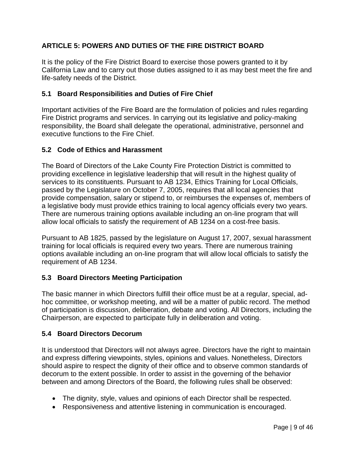## **ARTICLE 5: POWERS AND DUTIES OF THE FIRE DISTRICT BOARD**

It is the policy of the Fire District Board to exercise those powers granted to it by California Law and to carry out those duties assigned to it as may best meet the fire and life-safety needs of the District.

## **5.1 Board Responsibilities and Duties of Fire Chief**

Important activities of the Fire Board are the formulation of policies and rules regarding Fire District programs and services. In carrying out its legislative and policy-making responsibility, the Board shall delegate the operational, administrative, personnel and executive functions to the Fire Chief.

## **5.2 Code of Ethics and Harassment**

The Board of Directors of the Lake County Fire Protection District is committed to providing excellence in legislative leadership that will result in the highest quality of services to its constituents. Pursuant to AB 1234, Ethics Training for Local Officials, passed by the Legislature on October 7, 2005, requires that all local agencies that provide compensation, salary or stipend to, or reimburses the expenses of, members of a legislative body must provide ethics training to local agency officials every two years. There are numerous training options available including an on-line program that will allow local officials to satisfy the requirement of AB 1234 on a cost-free basis.

Pursuant to AB 1825, passed by the legislature on August 17, 2007, sexual harassment training for local officials is required every two years. There are numerous training options available including an on-line program that will allow local officials to satisfy the requirement of AB 1234.

### **5.3 Board Directors Meeting Participation**

The basic manner in which Directors fulfill their office must be at a regular, special, adhoc committee, or workshop meeting, and will be a matter of public record. The method of participation is discussion, deliberation, debate and voting. All Directors, including the Chairperson, are expected to participate fully in deliberation and voting.

## **5.4 Board Directors Decorum**

It is understood that Directors will not always agree. Directors have the right to maintain and express differing viewpoints, styles, opinions and values. Nonetheless, Directors should aspire to respect the dignity of their office and to observe common standards of decorum to the extent possible. In order to assist in the governing of the behavior between and among Directors of the Board, the following rules shall be observed:

- The dignity, style, values and opinions of each Director shall be respected.
- Responsiveness and attentive listening in communication is encouraged.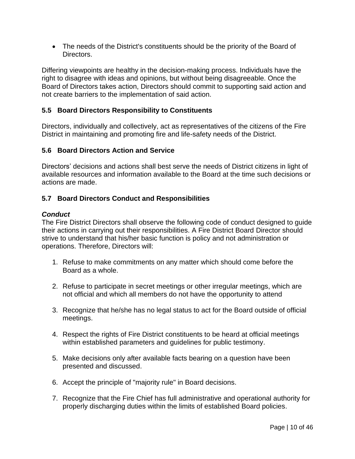• The needs of the District's constituents should be the priority of the Board of Directors.

Differing viewpoints are healthy in the decision-making process. Individuals have the right to disagree with ideas and opinions, but without being disagreeable. Once the Board of Directors takes action, Directors should commit to supporting said action and not create barriers to the implementation of said action.

## **5.5 Board Directors Responsibility to Constituents**

Directors, individually and collectively, act as representatives of the citizens of the Fire District in maintaining and promoting fire and life-safety needs of the District.

## **5.6 Board Directors Action and Service**

Directors' decisions and actions shall best serve the needs of District citizens in light of available resources and information available to the Board at the time such decisions or actions are made.

## **5.7 Board Directors Conduct and Responsibilities**

### *Conduct*

The Fire District Directors shall observe the following code of conduct designed to guide their actions in carrying out their responsibilities. A Fire District Board Director should strive to understand that his/her basic function is policy and not administration or operations. Therefore, Directors will:

- 1. Refuse to make commitments on any matter which should come before the Board as a whole.
- 2. Refuse to participate in secret meetings or other irregular meetings, which are not official and which all members do not have the opportunity to attend
- 3. Recognize that he/she has no legal status to act for the Board outside of official meetings.
- 4. Respect the rights of Fire District constituents to be heard at official meetings within established parameters and guidelines for public testimony.
- 5. Make decisions only after available facts bearing on a question have been presented and discussed.
- 6. Accept the principle of "majority rule" in Board decisions.
- 7. Recognize that the Fire Chief has full administrative and operational authority for properly discharging duties within the limits of established Board policies.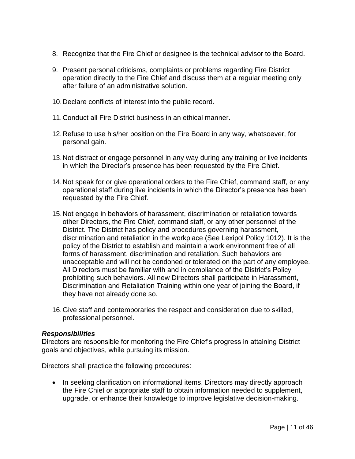- 8. Recognize that the Fire Chief or designee is the technical advisor to the Board.
- 9. Present personal criticisms, complaints or problems regarding Fire District operation directly to the Fire Chief and discuss them at a regular meeting only after failure of an administrative solution.
- 10.Declare conflicts of interest into the public record.
- 11.Conduct all Fire District business in an ethical manner.
- 12.Refuse to use his/her position on the Fire Board in any way, whatsoever, for personal gain.
- 13.Not distract or engage personnel in any way during any training or live incidents in which the Director's presence has been requested by the Fire Chief.
- 14.Not speak for or give operational orders to the Fire Chief, command staff, or any operational staff during live incidents in which the Director's presence has been requested by the Fire Chief.
- 15.Not engage in behaviors of harassment, discrimination or retaliation towards other Directors, the Fire Chief, command staff, or any other personnel of the District. The District has policy and procedures governing harassment, discrimination and retaliation in the workplace (See Lexipol Policy 1012). It is the policy of the District to establish and maintain a work environment free of all forms of harassment, discrimination and retaliation. Such behaviors are unacceptable and will not be condoned or tolerated on the part of any employee. All Directors must be familiar with and in compliance of the District's Policy prohibiting such behaviors. All new Directors shall participate in Harassment, Discrimination and Retaliation Training within one year of joining the Board, if they have not already done so.
- 16.Give staff and contemporaries the respect and consideration due to skilled, professional personnel.

#### *Responsibilities*

Directors are responsible for monitoring the Fire Chief's progress in attaining District goals and objectives, while pursuing its mission.

Directors shall practice the following procedures:

• In seeking clarification on informational items, Directors may directly approach the Fire Chief or appropriate staff to obtain information needed to supplement, upgrade, or enhance their knowledge to improve legislative decision-making.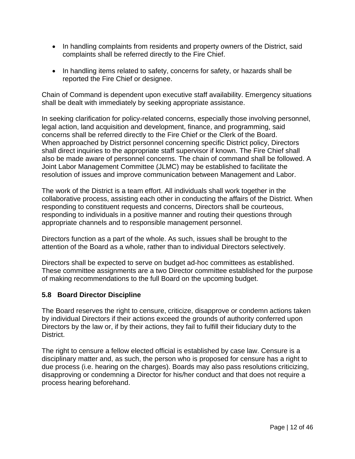- In handling complaints from residents and property owners of the District, said complaints shall be referred directly to the Fire Chief.
- In handling items related to safety, concerns for safety, or hazards shall be reported the Fire Chief or designee.

Chain of Command is dependent upon executive staff availability. Emergency situations shall be dealt with immediately by seeking appropriate assistance.

In seeking clarification for policy-related concerns, especially those involving personnel, legal action, land acquisition and development, finance, and programming, said concerns shall be referred directly to the Fire Chief or the Clerk of the Board. When approached by District personnel concerning specific District policy, Directors shall direct inquiries to the appropriate staff supervisor if known. The Fire Chief shall also be made aware of personnel concerns. The chain of command shall be followed. A Joint Labor Management Committee (JLMC) may be established to facilitate the resolution of issues and improve communication between Management and Labor.

The work of the District is a team effort. All individuals shall work together in the collaborative process, assisting each other in conducting the affairs of the District. When responding to constituent requests and concerns, Directors shall be courteous, responding to individuals in a positive manner and routing their questions through appropriate channels and to responsible management personnel.

Directors function as a part of the whole. As such, issues shall be brought to the attention of the Board as a whole, rather than to individual Directors selectively.

Directors shall be expected to serve on budget ad-hoc committees as established. These committee assignments are a two Director committee established for the purpose of making recommendations to the full Board on the upcoming budget.

## **5.8 Board Director Discipline**

The Board reserves the right to censure, criticize, disapprove or condemn actions taken by individual Directors if their actions exceed the grounds of authority conferred upon Directors by the law or, if by their actions, they fail to fulfill their fiduciary duty to the District.

The right to censure a fellow elected official is established by case law. Censure is a disciplinary matter and, as such, the person who is proposed for censure has a right to due process (i.e. hearing on the charges). Boards may also pass resolutions criticizing, disapproving or condemning a Director for his/her conduct and that does not require a process hearing beforehand.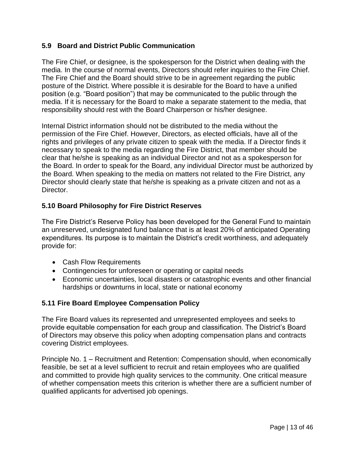## **5.9 Board and District Public Communication**

The Fire Chief, or designee, is the spokesperson for the District when dealing with the media. In the course of normal events, Directors should refer inquiries to the Fire Chief. The Fire Chief and the Board should strive to be in agreement regarding the public posture of the District. Where possible it is desirable for the Board to have a unified position (e.g. "Board position") that may be communicated to the public through the media. If it is necessary for the Board to make a separate statement to the media, that responsibility should rest with the Board Chairperson or his/her designee.

Internal District information should not be distributed to the media without the permission of the Fire Chief. However, Directors, as elected officials, have all of the rights and privileges of any private citizen to speak with the media. If a Director finds it necessary to speak to the media regarding the Fire District, that member should be clear that he/she is speaking as an individual Director and not as a spokesperson for the Board. In order to speak for the Board, any individual Director must be authorized by the Board. When speaking to the media on matters not related to the Fire District, any Director should clearly state that he/she is speaking as a private citizen and not as a Director.

## **5.10 Board Philosophy for Fire District Reserves**

The Fire District's Reserve Policy has been developed for the General Fund to maintain an unreserved, undesignated fund balance that is at least 20% of anticipated Operating expenditures. Its purpose is to maintain the District's credit worthiness, and adequately provide for:

- Cash Flow Requirements
- Contingencies for unforeseen or operating or capital needs
- Economic uncertainties, local disasters or catastrophic events and other financial hardships or downturns in local, state or national economy

### **5.11 Fire Board Employee Compensation Policy**

The Fire Board values its represented and unrepresented employees and seeks to provide equitable compensation for each group and classification. The District's Board of Directors may observe this policy when adopting compensation plans and contracts covering District employees.

Principle No. 1 – Recruitment and Retention: Compensation should, when economically feasible, be set at a level sufficient to recruit and retain employees who are qualified and committed to provide high quality services to the community. One critical measure of whether compensation meets this criterion is whether there are a sufficient number of qualified applicants for advertised job openings.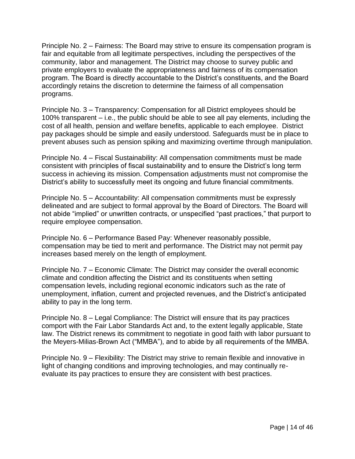Principle No. 2 – Fairness: The Board may strive to ensure its compensation program is fair and equitable from all legitimate perspectives, including the perspectives of the community, labor and management. The District may choose to survey public and private employers to evaluate the appropriateness and fairness of its compensation program. The Board is directly accountable to the District's constituents, and the Board accordingly retains the discretion to determine the fairness of all compensation programs.

Principle No. 3 – Transparency: Compensation for all District employees should be 100% transparent – i.e., the public should be able to see all pay elements, including the cost of all health, pension and welfare benefits, applicable to each employee. District pay packages should be simple and easily understood. Safeguards must be in place to prevent abuses such as pension spiking and maximizing overtime through manipulation.

Principle No. 4 – Fiscal Sustainability: All compensation commitments must be made consistent with principles of fiscal sustainability and to ensure the District's long term success in achieving its mission. Compensation adjustments must not compromise the District's ability to successfully meet its ongoing and future financial commitments.

Principle No. 5 – Accountability: All compensation commitments must be expressly delineated and are subject to formal approval by the Board of Directors. The Board will not abide "implied" or unwritten contracts, or unspecified "past practices," that purport to require employee compensation.

Principle No. 6 – Performance Based Pay: Whenever reasonably possible, compensation may be tied to merit and performance. The District may not permit pay increases based merely on the length of employment.

Principle No. 7 – Economic Climate: The District may consider the overall economic climate and condition affecting the District and its constituents when setting compensation levels, including regional economic indicators such as the rate of unemployment, inflation, current and projected revenues, and the District's anticipated ability to pay in the long term.

Principle No. 8 – Legal Compliance: The District will ensure that its pay practices comport with the Fair Labor Standards Act and, to the extent legally applicable, State law. The District renews its commitment to negotiate in good faith with labor pursuant to the Meyers-Milias-Brown Act ("MMBA"), and to abide by all requirements of the MMBA.

Principle No. 9 – Flexibility: The District may strive to remain flexible and innovative in light of changing conditions and improving technologies, and may continually reevaluate its pay practices to ensure they are consistent with best practices.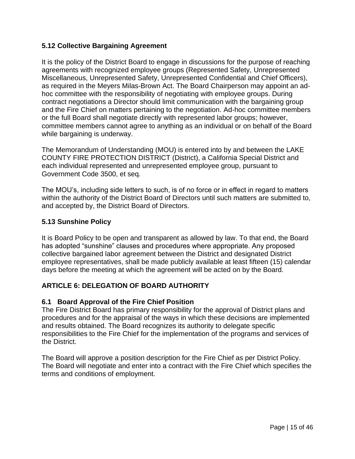## **5.12 Collective Bargaining Agreement**

It is the policy of the District Board to engage in discussions for the purpose of reaching agreements with recognized employee groups (Represented Safety, Unrepresented Miscellaneous, Unrepresented Safety, Unrepresented Confidential and Chief Officers), as required in the Meyers Milas-Brown Act. The Board Chairperson may appoint an adhoc committee with the responsibility of negotiating with employee groups. During contract negotiations a Director should limit communication with the bargaining group and the Fire Chief on matters pertaining to the negotiation. Ad-hoc committee members or the full Board shall negotiate directly with represented labor groups; however, committee members cannot agree to anything as an individual or on behalf of the Board while bargaining is underway.

The Memorandum of Understanding (MOU) is entered into by and between the LAKE COUNTY FIRE PROTECTION DISTRICT (District), a California Special District and each individual represented and unrepresented employee group, pursuant to Government Code 3500, et seq.

The MOU's, including side letters to such, is of no force or in effect in regard to matters within the authority of the District Board of Directors until such matters are submitted to, and accepted by, the District Board of Directors.

## **5.13 Sunshine Policy**

It is Board Policy to be open and transparent as allowed by law. To that end, the Board has adopted "sunshine" clauses and procedures where appropriate. Any proposed collective bargained labor agreement between the District and designated District employee representatives, shall be made publicly available at least fifteen (15) calendar days before the meeting at which the agreement will be acted on by the Board.

## **ARTICLE 6: DELEGATION OF BOARD AUTHORITY**

### **6.1 Board Approval of the Fire Chief Position**

The Fire District Board has primary responsibility for the approval of District plans and procedures and for the appraisal of the ways in which these decisions are implemented and results obtained. The Board recognizes its authority to delegate specific responsibilities to the Fire Chief for the implementation of the programs and services of the District.

The Board will approve a position description for the Fire Chief as per District Policy. The Board will negotiate and enter into a contract with the Fire Chief which specifies the terms and conditions of employment.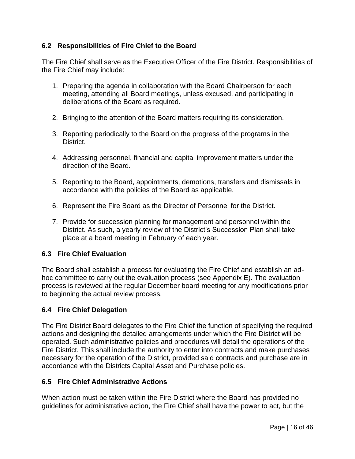## **6.2 Responsibilities of Fire Chief to the Board**

The Fire Chief shall serve as the Executive Officer of the Fire District. Responsibilities of the Fire Chief may include:

- 1. Preparing the agenda in collaboration with the Board Chairperson for each meeting, attending all Board meetings, unless excused, and participating in deliberations of the Board as required.
- 2. Bringing to the attention of the Board matters requiring its consideration.
- 3. Reporting periodically to the Board on the progress of the programs in the District.
- 4. Addressing personnel, financial and capital improvement matters under the direction of the Board.
- 5. Reporting to the Board, appointments, demotions, transfers and dismissals in accordance with the policies of the Board as applicable.
- 6. Represent the Fire Board as the Director of Personnel for the District.
- 7. Provide for succession planning for management and personnel within the District. As such, a yearly review of the District's Succession Plan shall take place at a board meeting in February of each year.

### **6.3 Fire Chief Evaluation**

The Board shall establish a process for evaluating the Fire Chief and establish an adhoc committee to carry out the evaluation process (see Appendix E). The evaluation process is reviewed at the regular December board meeting for any modifications prior to beginning the actual review process.

### **6.4 Fire Chief Delegation**

The Fire District Board delegates to the Fire Chief the function of specifying the required actions and designing the detailed arrangements under which the Fire District will be operated. Such administrative policies and procedures will detail the operations of the Fire District. This shall include the authority to enter into contracts and make purchases necessary for the operation of the District, provided said contracts and purchase are in accordance with the Districts Capital Asset and Purchase policies.

### **6.5 Fire Chief Administrative Actions**

When action must be taken within the Fire District where the Board has provided no guidelines for administrative action, the Fire Chief shall have the power to act, but the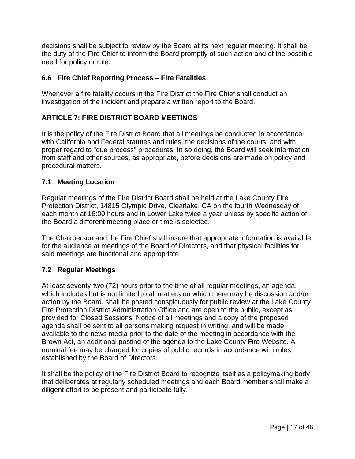decisions shall be subject to review by the Board at its next regular meeting. It shall be the duty of the Fire Chief to inform the Board promptly of such action and of the possible need for policy or rule.

## **6.6 Fire Chief Reporting Process – Fire Fatalities**

Whenever a fire fatality occurs in the Fire District the Fire Chief shall conduct an investigation of the incident and prepare a written report to the Board.

## **ARTICLE 7: FIRE DISTRICT BOARD MEETINGS**

It is the policy of the Fire District Board that all meetings be conducted in accordance with California and Federal statutes and rules, the decisions of the courts, and with proper regard to "due process" procedures. In so doing, the Board will seek information from staff and other sources, as appropriate, before decisions are made on policy and procedural matters.

## **7.1 Meeting Location**

Regular meetings of the Fire District Board shall be held at the Lake County Fire Protection District, 14815 Olympic Drive, Clearlake, CA on the fourth Wednesday of each month at 16:00 hours and in Lower Lake twice a year unless by specific action of the Board a different meeting place or time is selected.

The Chairperson and the Fire Chief shall insure that appropriate information is available for the audience at meetings of the Board of Directors, and that physical facilities for said meetings are functional and appropriate.

## **7.2 Regular Meetings**

At least seventy-two (72) hours prior to the time of all regular meetings, an agenda, which includes but is not limited to all matters on which there may be discussion and/or action by the Board, shall be posted conspicuously for public review at the Lake County Fire Protection District Administration Office and are open to the public, except as provided for Closed Sessions. Notice of all meetings and a copy of the proposed agenda shall be sent to all persons making request in writing, and will be made available to the news media prior to the date of the meeting in accordance with the Brown Act, an additional posting of the agenda to the Lake County Fire Website. A nominal fee may be charged for copies of public records in accordance with rules established by the Board of Directors.

It shall be the policy of the Fire District Board to recognize itself as a policymaking body that deliberates at regularly scheduled meetings and each Board member shall make a diligent effort to be present and participate fully.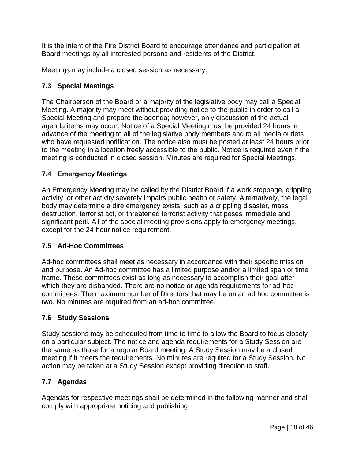It is the intent of the Fire District Board to encourage attendance and participation at Board meetings by all interested persons and residents of the District.

Meetings may include a closed session as necessary.

## **7.3 Special Meetings**

The Chairperson of the Board or a majority of the legislative body may call a Special Meeting. A majority may meet without providing notice to the public in order to call a Special Meeting and prepare the agenda; however, only discussion of the actual agenda items may occur. Notice of a Special Meeting must be provided 24 hours in advance of the meeting to all of the legislative body members and to all media outlets who have requested notification. The notice also must be posted at least 24 hours prior to the meeting in a location freely accessible to the public. Notice is required even if the meeting is conducted in closed session. Minutes are required for Special Meetings.

## **7.4 Emergency Meetings**

An Emergency Meeting may be called by the District Board if a work stoppage, crippling activity, or other activity severely impairs public health or safety. Alternatively, the legal body may determine a dire emergency exists, such as a crippling disaster, mass destruction, terrorist act, or threatened terrorist activity that poses immediate and significant peril. All of the special meeting provisions apply to emergency meetings, except for the 24-hour notice requirement.

### **7.5 Ad-Hoc Committees**

Ad-hoc committees shall meet as necessary in accordance with their specific mission and purpose. An Ad-hoc committee has a limited purpose and/or a limited span or time frame. These committees exist as long as necessary to accomplish their goal after which they are disbanded. There are no notice or agenda requirements for ad-hoc committees. The maximum number of Directors that may be on an ad hoc committee is two. No minutes are required from an ad-hoc committee.

### **7.6 Study Sessions**

Study sessions may be scheduled from time to time to allow the Board to focus closely on a particular subject. The notice and agenda requirements for a Study Session are the same as those for a regular Board meeting. A Study Session may be a closed meeting if it meets the requirements. No minutes are required for a Study Session. No action may be taken at a Study Session except providing direction to staff.

## **7.7 Agendas**

Agendas for respective meetings shall be determined in the following manner and shall comply with appropriate noticing and publishing.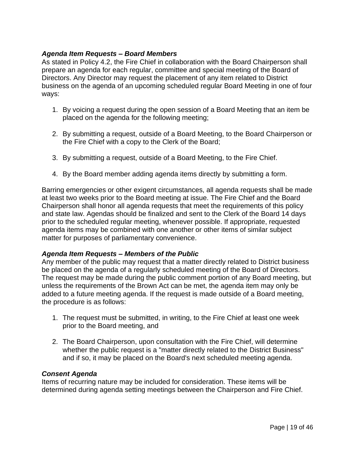### *Agenda Item Requests – Board Members*

As stated in Policy 4.2, the Fire Chief in collaboration with the Board Chairperson shall prepare an agenda for each regular, committee and special meeting of the Board of Directors. Any Director may request the placement of any item related to District business on the agenda of an upcoming scheduled regular Board Meeting in one of four ways:

- 1. By voicing a request during the open session of a Board Meeting that an item be placed on the agenda for the following meeting;
- 2. By submitting a request, outside of a Board Meeting, to the Board Chairperson or the Fire Chief with a copy to the Clerk of the Board;
- 3. By submitting a request, outside of a Board Meeting, to the Fire Chief.
- 4. By the Board member adding agenda items directly by submitting a form.

Barring emergencies or other exigent circumstances, all agenda requests shall be made at least two weeks prior to the Board meeting at issue. The Fire Chief and the Board Chairperson shall honor all agenda requests that meet the requirements of this policy and state law. Agendas should be finalized and sent to the Clerk of the Board 14 days prior to the scheduled regular meeting, whenever possible. If appropriate, requested agenda items may be combined with one another or other items of similar subject matter for purposes of parliamentary convenience.

### *Agenda Item Requests – Members of the Public*

Any member of the public may request that a matter directly related to District business be placed on the agenda of a regularly scheduled meeting of the Board of Directors. The request may be made during the public comment portion of any Board meeting, but unless the requirements of the Brown Act can be met, the agenda item may only be added to a future meeting agenda. If the request is made outside of a Board meeting, the procedure is as follows:

- 1. The request must be submitted, in writing, to the Fire Chief at least one week prior to the Board meeting, and
- 2. The Board Chairperson, upon consultation with the Fire Chief, will determine whether the public request is a "matter directly related to the District Business" and if so, it may be placed on the Board's next scheduled meeting agenda.

### *Consent Agenda*

Items of recurring nature may be included for consideration. These items will be determined during agenda setting meetings between the Chairperson and Fire Chief.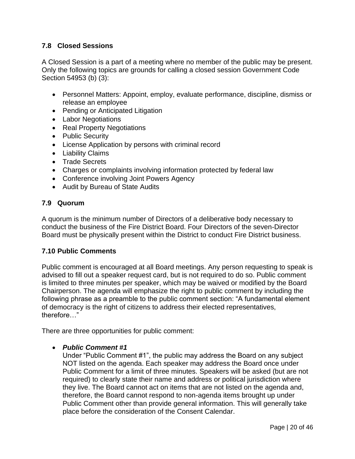## **7.8 Closed Sessions**

A Closed Session is a part of a meeting where no member of the public may be present. Only the following topics are grounds for calling a closed session Government Code Section 54953 (b) (3):

- Personnel Matters: Appoint, employ, evaluate performance, discipline, dismiss or release an employee
- Pending or Anticipated Litigation
- Labor Negotiations
- Real Property Negotiations
- Public Security
- License Application by persons with criminal record
- Liability Claims
- Trade Secrets
- Charges or complaints involving information protected by federal law
- Conference involving Joint Powers Agency
- Audit by Bureau of State Audits

### **7.9 Quorum**

A quorum is the minimum number of Directors of a deliberative body necessary to conduct the business of the Fire District Board. Four Directors of the seven-Director Board must be physically present within the District to conduct Fire District business.

### **7.10 Public Comments**

Public comment is encouraged at all Board meetings. Any person requesting to speak is advised to fill out a speaker request card, but is not required to do so. Public comment is limited to three minutes per speaker, which may be waived or modified by the Board Chairperson. The agenda will emphasize the right to public comment by including the following phrase as a preamble to the public comment section: "A fundamental element of democracy is the right of citizens to address their elected representatives, therefore…"

There are three opportunities for public comment:

### • *Public Comment #1*

Under "Public Comment #1", the public may address the Board on any subject NOT listed on the agenda. Each speaker may address the Board once under Public Comment for a limit of three minutes. Speakers will be asked (but are not required) to clearly state their name and address or political jurisdiction where they live. The Board cannot act on items that are not listed on the agenda and, therefore, the Board cannot respond to non-agenda items brought up under Public Comment other than provide general information. This will generally take place before the consideration of the Consent Calendar.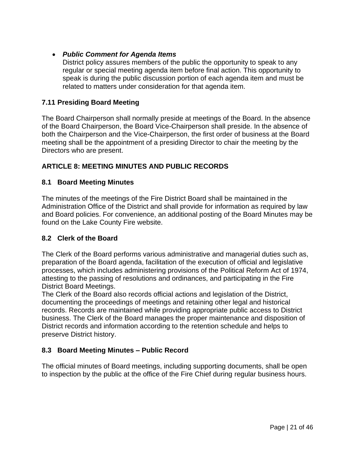## • *Public Comment for Agenda Items*

District policy assures members of the public the opportunity to speak to any regular or special meeting agenda item before final action. This opportunity to speak is during the public discussion portion of each agenda item and must be related to matters under consideration for that agenda item.

## **7.11 Presiding Board Meeting**

The Board Chairperson shall normally preside at meetings of the Board. In the absence of the Board Chairperson, the Board Vice-Chairperson shall preside. In the absence of both the Chairperson and the Vice-Chairperson, the first order of business at the Board meeting shall be the appointment of a presiding Director to chair the meeting by the Directors who are present.

## **ARTICLE 8: MEETING MINUTES AND PUBLIC RECORDS**

## **8.1 Board Meeting Minutes**

The minutes of the meetings of the Fire District Board shall be maintained in the Administration Office of the District and shall provide for information as required by law and Board policies. For convenience, an additional posting of the Board Minutes may be found on the Lake County Fire website.

## **8.2 Clerk of the Board**

The Clerk of the Board performs various administrative and managerial duties such as, preparation of the Board agenda, facilitation of the execution of official and legislative processes, which includes administering provisions of the Political Reform Act of 1974, attesting to the passing of resolutions and ordinances, and participating in the Fire District Board Meetings.

The Clerk of the Board also records official actions and legislation of the District, documenting the proceedings of meetings and retaining other legal and historical records. Records are maintained while providing appropriate public access to District business. The Clerk of the Board manages the proper maintenance and disposition of District records and information according to the retention schedule and helps to preserve District history.

## **8.3 Board Meeting Minutes – Public Record**

The official minutes of Board meetings, including supporting documents, shall be open to inspection by the public at the office of the Fire Chief during regular business hours.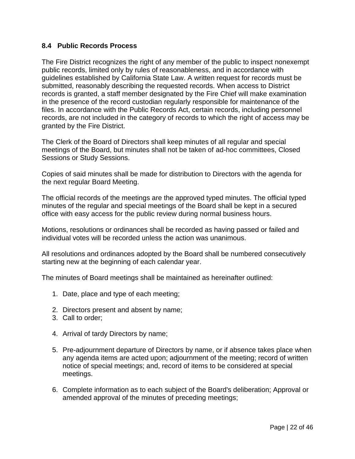## **8.4 Public Records Process**

The Fire District recognizes the right of any member of the public to inspect nonexempt public records, limited only by rules of reasonableness, and in accordance with guidelines established by California State Law. A written request for records must be submitted, reasonably describing the requested records. When access to District records is granted, a staff member designated by the Fire Chief will make examination in the presence of the record custodian regularly responsible for maintenance of the files. In accordance with the Public Records Act, certain records, including personnel records, are not included in the category of records to which the right of access may be granted by the Fire District.

The Clerk of the Board of Directors shall keep minutes of all regular and special meetings of the Board, but minutes shall not be taken of ad-hoc committees, Closed Sessions or Study Sessions.

Copies of said minutes shall be made for distribution to Directors with the agenda for the next regular Board Meeting.

The official records of the meetings are the approved typed minutes. The official typed minutes of the regular and special meetings of the Board shall be kept in a secured office with easy access for the public review during normal business hours.

Motions, resolutions or ordinances shall be recorded as having passed or failed and individual votes will be recorded unless the action was unanimous.

All resolutions and ordinances adopted by the Board shall be numbered consecutively starting new at the beginning of each calendar year.

The minutes of Board meetings shall be maintained as hereinafter outlined:

- 1. Date, place and type of each meeting;
- 2. Directors present and absent by name;
- 3. Call to order;
- 4. Arrival of tardy Directors by name;
- 5. Pre-adjournment departure of Directors by name, or if absence takes place when any agenda items are acted upon; adjournment of the meeting; record of written notice of special meetings; and, record of items to be considered at special meetings.
- 6. Complete information as to each subject of the Board's deliberation; Approval or amended approval of the minutes of preceding meetings;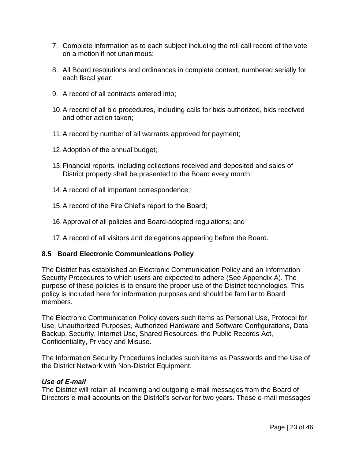- 7. Complete information as to each subject including the roll call record of the vote on a motion if not unanimous;
- 8. All Board resolutions and ordinances in complete context, numbered serially for each fiscal year;
- 9. A record of all contracts entered into;
- 10.A record of all bid procedures, including calls for bids authorized, bids received and other action taken;
- 11.A record by number of all warrants approved for payment;
- 12.Adoption of the annual budget;
- 13.Financial reports, including collections received and deposited and sales of District property shall be presented to the Board every month;
- 14.A record of all important correspondence;
- 15.A record of the Fire Chief's report to the Board;
- 16.Approval of all policies and Board-adopted regulations; and
- 17.A record of all visitors and delegations appearing before the Board.

## **8.5 Board Electronic Communications Policy**

The District has established an Electronic Communication Policy and an Information Security Procedures to which users are expected to adhere (See Appendix A). The purpose of these policies is to ensure the proper use of the District technologies. This policy is included here for information purposes and should be familiar to Board members.

The Electronic Communication Policy covers such items as Personal Use, Protocol for Use, Unauthorized Purposes, Authorized Hardware and Software Configurations, Data Backup, Security, Internet Use, Shared Resources, the Public Records Act, Confidentiality, Privacy and Misuse.

The Information Security Procedures includes such items as Passwords and the Use of the District Network with Non-District Equipment.

### *Use of E-mail*

The District will retain all incoming and outgoing e-mail messages from the Board of Directors e-mail accounts on the District's server for two years. These e-mail messages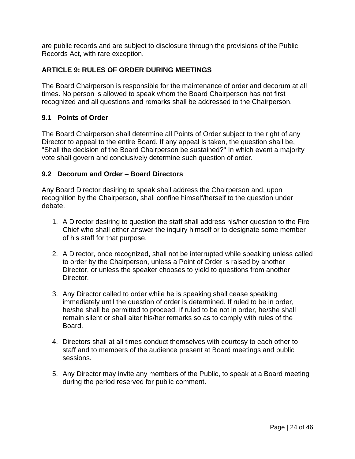are public records and are subject to disclosure through the provisions of the Public Records Act, with rare exception.

## **ARTICLE 9: RULES OF ORDER DURING MEETINGS**

The Board Chairperson is responsible for the maintenance of order and decorum at all times. No person is allowed to speak whom the Board Chairperson has not first recognized and all questions and remarks shall be addressed to the Chairperson.

## **9.1 Points of Order**

The Board Chairperson shall determine all Points of Order subject to the right of any Director to appeal to the entire Board. If any appeal is taken, the question shall be, "Shall the decision of the Board Chairperson be sustained?" In which event a majority vote shall govern and conclusively determine such question of order.

#### **9.2 Decorum and Order – Board Directors**

Any Board Director desiring to speak shall address the Chairperson and, upon recognition by the Chairperson, shall confine himself/herself to the question under debate.

- 1. A Director desiring to question the staff shall address his/her question to the Fire Chief who shall either answer the inquiry himself or to designate some member of his staff for that purpose.
- 2. A Director, once recognized, shall not be interrupted while speaking unless called to order by the Chairperson, unless a Point of Order is raised by another Director, or unless the speaker chooses to yield to questions from another Director.
- 3. Any Director called to order while he is speaking shall cease speaking immediately until the question of order is determined. If ruled to be in order, he/she shall be permitted to proceed. If ruled to be not in order, he/she shall remain silent or shall alter his/her remarks so as to comply with rules of the Board.
- 4. Directors shall at all times conduct themselves with courtesy to each other to staff and to members of the audience present at Board meetings and public sessions.
- 5. Any Director may invite any members of the Public, to speak at a Board meeting during the period reserved for public comment.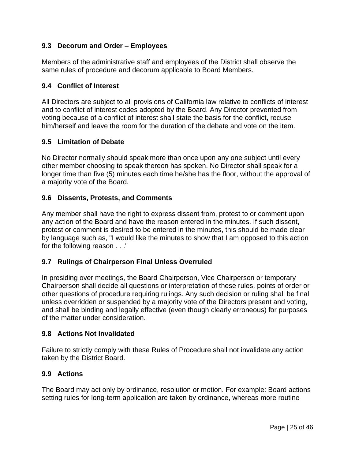## **9.3 Decorum and Order – Employees**

Members of the administrative staff and employees of the District shall observe the same rules of procedure and decorum applicable to Board Members.

## **9.4 Conflict of Interest**

All Directors are subject to all provisions of California law relative to conflicts of interest and to conflict of interest codes adopted by the Board. Any Director prevented from voting because of a conflict of interest shall state the basis for the conflict, recuse him/herself and leave the room for the duration of the debate and vote on the item.

## **9.5 Limitation of Debate**

No Director normally should speak more than once upon any one subject until every other member choosing to speak thereon has spoken. No Director shall speak for a longer time than five (5) minutes each time he/she has the floor, without the approval of a majority vote of the Board.

## **9.6 Dissents, Protests, and Comments**

Any member shall have the right to express dissent from, protest to or comment upon any action of the Board and have the reason entered in the minutes. If such dissent, protest or comment is desired to be entered in the minutes, this should be made clear by language such as, "I would like the minutes to show that I am opposed to this action for the following reason . . ."

## **9.7 Rulings of Chairperson Final Unless Overruled**

In presiding over meetings, the Board Chairperson, Vice Chairperson or temporary Chairperson shall decide all questions or interpretation of these rules, points of order or other questions of procedure requiring rulings. Any such decision or ruling shall be final unless overridden or suspended by a majority vote of the Directors present and voting, and shall be binding and legally effective (even though clearly erroneous) for purposes of the matter under consideration.

### **9.8 Actions Not Invalidated**

Failure to strictly comply with these Rules of Procedure shall not invalidate any action taken by the District Board.

### **9.9 Actions**

The Board may act only by ordinance, resolution or motion. For example: Board actions setting rules for long-term application are taken by ordinance, whereas more routine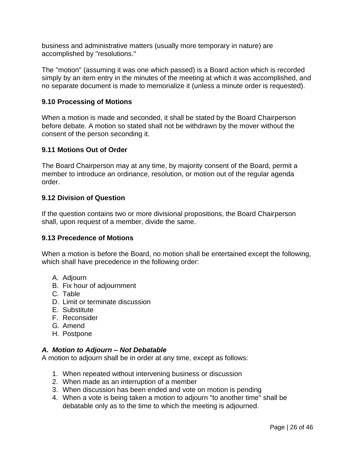business and administrative matters (usually more temporary in nature) are accomplished by "resolutions."

The "motion" (assuming it was one which passed) is a Board action which is recorded simply by an item entry in the minutes of the meeting at which it was accomplished, and no separate document is made to memorialize it (unless a minute order is requested).

### **9.10 Processing of Motions**

When a motion is made and seconded, it shall be stated by the Board Chairperson before debate. A motion so stated shall not be withdrawn by the mover without the consent of the person seconding it.

#### **9.11 Motions Out of Order**

The Board Chairperson may at any time, by majority consent of the Board, permit a member to introduce an ordinance, resolution, or motion out of the regular agenda order.

#### **9.12 Division of Question**

If the question contains two or more divisional propositions, the Board Chairperson shall, upon request of a member, divide the same.

#### **9.13 Precedence of Motions**

When a motion is before the Board, no motion shall be entertained except the following, which shall have precedence in the following order:

- A. Adjourn
- B. Fix hour of adjournment
- C. Table
- D. Limit or terminate discussion
- E. Substitute
- F. Reconsider
- G. Amend
- H. Postpone

#### *A. Motion to Adjourn – Not Debatable*

A motion to adjourn shall be in order at any time, except as follows:

- 1. When repeated without intervening business or discussion
- 2. When made as an interruption of a member
- 3. When discussion has been ended and vote on motion is pending
- 4. When a vote is being taken a motion to adjourn "to another time" shall be debatable only as to the time to which the meeting is adjourned.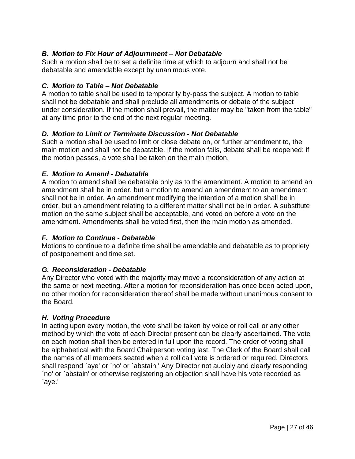## *B. Motion to Fix Hour of Adjournment – Not Debatable*

Such a motion shall be to set a definite time at which to adjourn and shall not be debatable and amendable except by unanimous vote.

## *C. Motion to Table – Not Debatable*

A motion to table shall be used to temporarily by-pass the subject. A motion to table shall not be debatable and shall preclude all amendments or debate of the subject under consideration. If the motion shall prevail, the matter may be "taken from the table" at any time prior to the end of the next regular meeting.

## *D. Motion to Limit or Terminate Discussion - Not Debatable*

Such a motion shall be used to limit or close debate on, or further amendment to, the main motion and shall not be debatable. If the motion fails, debate shall be reopened; if the motion passes, a vote shall be taken on the main motion.

## *E. Motion to Amend - Debatable*

A motion to amend shall be debatable only as to the amendment. A motion to amend an amendment shall be in order, but a motion to amend an amendment to an amendment shall not be in order. An amendment modifying the intention of a motion shall be in order, but an amendment relating to a different matter shall not be in order. A substitute motion on the same subject shall be acceptable, and voted on before a vote on the amendment. Amendments shall be voted first, then the main motion as amended.

### *F. Motion to Continue - Debatable*

Motions to continue to a definite time shall be amendable and debatable as to propriety of postponement and time set.

### *G. Reconsideration - Debatable*

Any Director who voted with the majority may move a reconsideration of any action at the same or next meeting. After a motion for reconsideration has once been acted upon, no other motion for reconsideration thereof shall be made without unanimous consent to the Board.

### *H. Voting Procedure*

In acting upon every motion, the vote shall be taken by voice or roll call or any other method by which the vote of each Director present can be clearly ascertained. The vote on each motion shall then be entered in full upon the record. The order of voting shall be alphabetical with the Board Chairperson voting last. The Clerk of the Board shall call the names of all members seated when a roll call vote is ordered or required. Directors shall respond `aye' or `no' or `abstain.' Any Director not audibly and clearly responding `no' or `abstain' or otherwise registering an objection shall have his vote recorded as `aye.'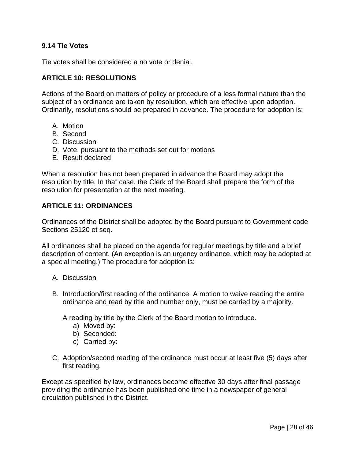## **9.14 Tie Votes**

Tie votes shall be considered a no vote or denial.

## **ARTICLE 10: RESOLUTIONS**

Actions of the Board on matters of policy or procedure of a less formal nature than the subject of an ordinance are taken by resolution, which are effective upon adoption. Ordinarily, resolutions should be prepared in advance. The procedure for adoption is:

- A. Motion
- B. Second
- C. Discussion
- D. Vote, pursuant to the methods set out for motions
- E. Result declared

When a resolution has not been prepared in advance the Board may adopt the resolution by title. In that case, the Clerk of the Board shall prepare the form of the resolution for presentation at the next meeting.

### **ARTICLE 11: ORDINANCES**

Ordinances of the District shall be adopted by the Board pursuant to Government code Sections 25120 et seq.

All ordinances shall be placed on the agenda for regular meetings by title and a brief description of content. (An exception is an urgency ordinance, which may be adopted at a special meeting.) The procedure for adoption is:

- A. Discussion
- B. Introduction/first reading of the ordinance. A motion to waive reading the entire ordinance and read by title and number only, must be carried by a majority.

A reading by title by the Clerk of the Board motion to introduce.

- a) Moved by:
- b) Seconded:
- c) Carried by:
- C. Adoption/second reading of the ordinance must occur at least five (5) days after first reading.

Except as specified by law, ordinances become effective 30 days after final passage providing the ordinance has been published one time in a newspaper of general circulation published in the District.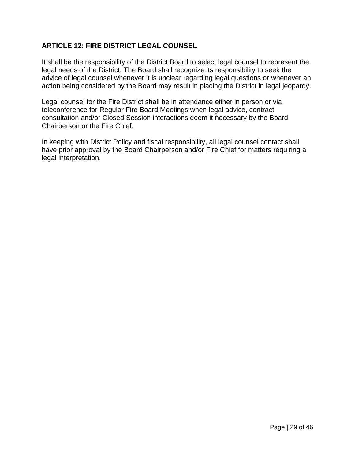## **ARTICLE 12: FIRE DISTRICT LEGAL COUNSEL**

It shall be the responsibility of the District Board to select legal counsel to represent the legal needs of the District. The Board shall recognize its responsibility to seek the advice of legal counsel whenever it is unclear regarding legal questions or whenever an action being considered by the Board may result in placing the District in legal jeopardy.

Legal counsel for the Fire District shall be in attendance either in person or via teleconference for Regular Fire Board Meetings when legal advice, contract consultation and/or Closed Session interactions deem it necessary by the Board Chairperson or the Fire Chief.

In keeping with District Policy and fiscal responsibility, all legal counsel contact shall have prior approval by the Board Chairperson and/or Fire Chief for matters requiring a legal interpretation.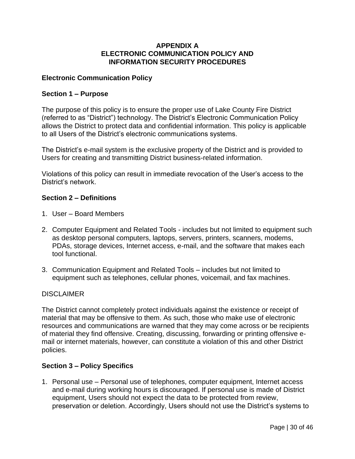#### **APPENDIX A ELECTRONIC COMMUNICATION POLICY AND INFORMATION SECURITY PROCEDURES**

### **Electronic Communication Policy**

## **Section 1 – Purpose**

The purpose of this policy is to ensure the proper use of Lake County Fire District (referred to as "District") technology. The District's Electronic Communication Policy allows the District to protect data and confidential information. This policy is applicable to all Users of the District's electronic communications systems.

The District's e-mail system is the exclusive property of the District and is provided to Users for creating and transmitting District business-related information.

Violations of this policy can result in immediate revocation of the User's access to the District's network.

### **Section 2 – Definitions**

- 1. User Board Members
- 2. Computer Equipment and Related Tools includes but not limited to equipment such as desktop personal computers, laptops, servers, printers, scanners, modems, PDAs, storage devices, Internet access, e-mail, and the software that makes each tool functional.
- 3. Communication Equipment and Related Tools includes but not limited to equipment such as telephones, cellular phones, voicemail, and fax machines.

### **DISCLAIMER**

The District cannot completely protect individuals against the existence or receipt of material that may be offensive to them. As such, those who make use of electronic resources and communications are warned that they may come across or be recipients of material they find offensive. Creating, discussing, forwarding or printing offensive email or internet materials, however, can constitute a violation of this and other District policies.

### **Section 3 – Policy Specifics**

1. Personal use – Personal use of telephones, computer equipment, Internet access and e-mail during working hours is discouraged. If personal use is made of District equipment, Users should not expect the data to be protected from review, preservation or deletion. Accordingly, Users should not use the District's systems to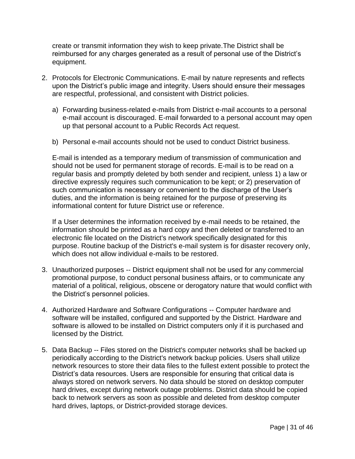create or transmit information they wish to keep private.The District shall be reimbursed for any charges generated as a result of personal use of the District's equipment.

- 2. Protocols for Electronic Communications. E-mail by nature represents and reflects upon the District's public image and integrity. Users should ensure their messages are respectful, professional, and consistent with District policies.
	- a) Forwarding business-related e-mails from District e-mail accounts to a personal e-mail account is discouraged. E-mail forwarded to a personal account may open up that personal account to a Public Records Act request.
	- b) Personal e-mail accounts should not be used to conduct District business.

E-mail is intended as a temporary medium of transmission of communication and should not be used for permanent storage of records. E-mail is to be read on a regular basis and promptly deleted by both sender and recipient, unless 1) a law or directive expressly requires such communication to be kept; or 2) preservation of such communication is necessary or convenient to the discharge of the User's duties, and the information is being retained for the purpose of preserving its informational content for future District use or reference.

If a User determines the information received by e-mail needs to be retained, the information should be printed as a hard copy and then deleted or transferred to an electronic file located on the District's network specifically designated for this purpose. Routine backup of the District's e-mail system is for disaster recovery only, which does not allow individual e-mails to be restored.

- 3. Unauthorized purposes -- District equipment shall not be used for any commercial promotional purpose, to conduct personal business affairs, or to communicate any material of a political, religious, obscene or derogatory nature that would conflict with the District's personnel policies.
- 4. Authorized Hardware and Software Configurations -- Computer hardware and software will be installed, configured and supported by the District. Hardware and software is allowed to be installed on District computers only if it is purchased and licensed by the District.
- 5. Data Backup -- Files stored on the District's computer networks shall be backed up periodically according to the District's network backup policies. Users shall utilize network resources to store their data files to the fullest extent possible to protect the District's data resources. Users are responsible for ensuring that critical data is always stored on network servers. No data should be stored on desktop computer hard drives, except during network outage problems. District data should be copied back to network servers as soon as possible and deleted from desktop computer hard drives, laptops, or District-provided storage devices.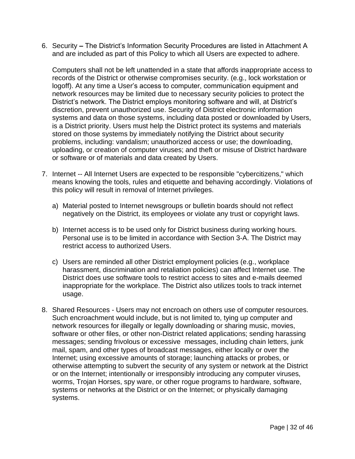6. Security **–** The District's Information Security Procedures are listed in Attachment A and are included as part of this Policy to which all Users are expected to adhere.

Computers shall not be left unattended in a state that affords inappropriate access to records of the District or otherwise compromises security. (e.g., lock workstation or logoff). At any time a User's access to computer, communication equipment and network resources may be limited due to necessary security policies to protect the District's network. The District employs monitoring software and will, at District's discretion, prevent unauthorized use. Security of District electronic information systems and data on those systems, including data posted or downloaded by Users, is a District priority. Users must help the District protect its systems and materials stored on those systems by immediately notifying the District about security problems, including: vandalism; unauthorized access or use; the downloading, uploading, or creation of computer viruses; and theft or misuse of District hardware or software or of materials and data created by Users.

- 7. Internet -- All Internet Users are expected to be responsible "cybercitizens," which means knowing the tools, rules and etiquette and behaving accordingly. Violations of this policy will result in removal of Internet privileges.
	- a) Material posted to Internet newsgroups or bulletin boards should not reflect negatively on the District, its employees or violate any trust or copyright laws.
	- b) Internet access is to be used only for District business during working hours. Personal use is to be limited in accordance with Section 3-A. The District may restrict access to authorized Users.
	- c) Users are reminded all other District employment policies (e.g., workplace harassment, discrimination and retaliation policies) can affect Internet use. The District does use software tools to restrict access to sites and e-mails deemed inappropriate for the workplace. The District also utilizes tools to track internet usage.
- 8. Shared Resources Users may not encroach on others use of computer resources. Such encroachment would include, but is not limited to, tying up computer and network resources for illegally or legally downloading or sharing music, movies, software or other files, or other non-District related applications; sending harassing messages; sending frivolous or excessive messages, including chain letters, junk mail, spam, and other types of broadcast messages, either locally or over the Internet; using excessive amounts of storage; launching attacks or probes, or otherwise attempting to subvert the security of any system or network at the District or on the Internet; intentionally or irresponsibly introducing any computer viruses, worms, Trojan Horses, spy ware, or other rogue programs to hardware, software, systems or networks at the District or on the Internet; or physically damaging systems.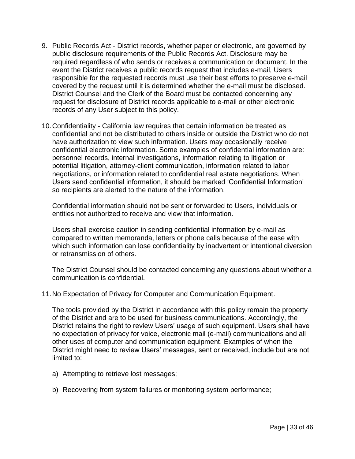- 9. Public Records Act District records, whether paper or electronic, are governed by public disclosure requirements of the Public Records Act. Disclosure may be required regardless of who sends or receives a communication or document. In the event the District receives a public records request that includes e-mail, Users responsible for the requested records must use their best efforts to preserve e-mail covered by the request until it is determined whether the e-mail must be disclosed. District Counsel and the Clerk of the Board must be contacted concerning any request for disclosure of District records applicable to e-mail or other electronic records of any User subject to this policy.
- 10.Confidentiality California law requires that certain information be treated as confidential and not be distributed to others inside or outside the District who do not have authorization to view such information. Users may occasionally receive confidential electronic information. Some examples of confidential information are: personnel records, internal investigations, information relating to litigation or potential litigation, attorney-client communication, information related to labor negotiations, or information related to confidential real estate negotiations. When Users send confidential information, it should be marked 'Confidential Information' so recipients are alerted to the nature of the information.

Confidential information should not be sent or forwarded to Users, individuals or entities not authorized to receive and view that information.

Users shall exercise caution in sending confidential information by e-mail as compared to written memoranda, letters or phone calls because of the ease with which such information can lose confidentiality by inadvertent or intentional diversion or retransmission of others.

The District Counsel should be contacted concerning any questions about whether a communication is confidential.

11.No Expectation of Privacy for Computer and Communication Equipment.

The tools provided by the District in accordance with this policy remain the property of the District and are to be used for business communications. Accordingly, the District retains the right to review Users' usage of such equipment. Users shall have no expectation of privacy for voice, electronic mail (e-mail) communications and all other uses of computer and communication equipment. Examples of when the District might need to review Users' messages, sent or received, include but are not limited to:

- a) Attempting to retrieve lost messages;
- b) Recovering from system failures or monitoring system performance;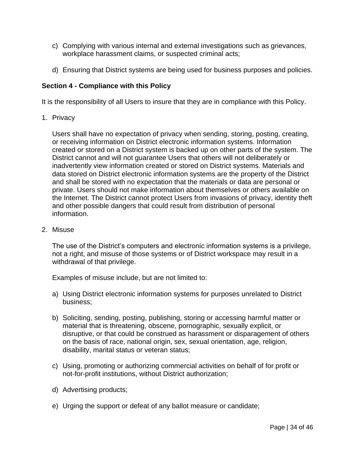- c) Complying with various internal and external investigations such as grievances, workplace harassment claims, or suspected criminal acts;
- d) Ensuring that District systems are being used for business purposes and policies.

## **Section 4 - Compliance with this Policy**

It is the responsibility of all Users to insure that they are in compliance with this Policy.

1. Privacy

Users shall have no expectation of privacy when sending, storing, posting, creating, or receiving information on District electronic information systems. Information created or stored on a District system is backed up on other parts of the system. The District cannot and will not guarantee Users that others will not deliberately or inadvertently view information created or stored on District systems. Materials and data stored on District electronic information systems are the property of the District and shall be stored with no expectation that the materials or data are personal or private. Users should not make information about themselves or others available on the Internet. The District cannot protect Users from invasions of privacy, identity theft and other possible dangers that could result from distribution of personal information.

2. Misuse

The use of the District's computers and electronic information systems is a privilege, not a right, and misuse of those systems or of District workspace may result in a withdrawal of that privilege.

Examples of misuse include, but are not limited to:

- a) Using District electronic information systems for purposes unrelated to District business;
- b) Soliciting, sending, posting, publishing, storing or accessing harmful matter or material that is threatening, obscene, pornographic, sexually explicit, or disruptive, or that could be construed as harassment or disparagement of others on the basis of race, national origin, sex, sexual orientation, age, religion, disability, marital status or veteran status;
- c) Using, promoting or authorizing commercial activities on behalf of for profit or not-for-profit institutions, without District authorization;
- d) Advertising products;
- e) Urging the support or defeat of any ballot measure or candidate;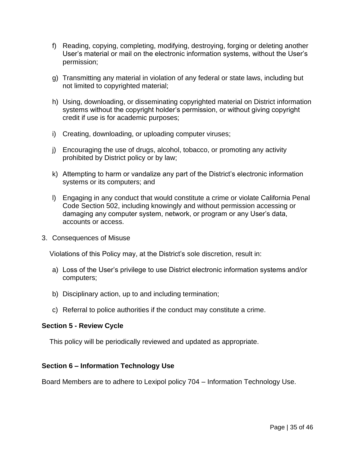- f) Reading, copying, completing, modifying, destroying, forging or deleting another User's material or mail on the electronic information systems, without the User's permission;
- g) Transmitting any material in violation of any federal or state laws, including but not limited to copyrighted material;
- h) Using, downloading, or disseminating copyrighted material on District information systems without the copyright holder's permission, or without giving copyright credit if use is for academic purposes;
- i) Creating, downloading, or uploading computer viruses;
- j) Encouraging the use of drugs, alcohol, tobacco, or promoting any activity prohibited by District policy or by law;
- k) Attempting to harm or vandalize any part of the District's electronic information systems or its computers; and
- l) Engaging in any conduct that would constitute a crime or violate California Penal Code Section 502, including knowingly and without permission accessing or damaging any computer system, network, or program or any User's data, accounts or access.
- 3. Consequences of Misuse

Violations of this Policy may, at the District's sole discretion, result in:

- a) Loss of the User's privilege to use District electronic information systems and/or computers;
- b) Disciplinary action, up to and including termination;
- c) Referral to police authorities if the conduct may constitute a crime.

#### **Section 5 - Review Cycle**

This policy will be periodically reviewed and updated as appropriate.

### **Section 6 – Information Technology Use**

Board Members are to adhere to Lexipol policy 704 – Information Technology Use.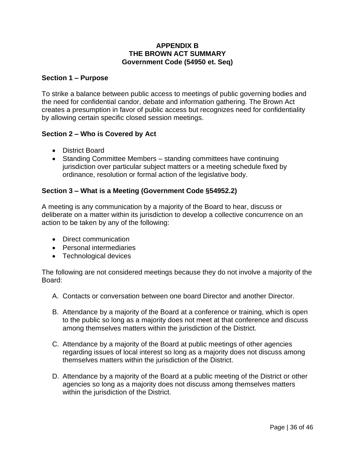#### **APPENDIX B THE BROWN ACT SUMMARY Government Code (54950 et. Seq)**

## **Section 1 – Purpose**

To strike a balance between public access to meetings of public governing bodies and the need for confidential candor, debate and information gathering. The Brown Act creates a presumption in favor of public access but recognizes need for confidentiality by allowing certain specific closed session meetings.

## **Section 2 – Who is Covered by Act**

- District Board
- Standing Committee Members standing committees have continuing jurisdiction over particular subject matters or a meeting schedule fixed by ordinance, resolution or formal action of the legislative body.

## **Section 3 – What is a Meeting (Government Code §54952.2)**

A meeting is any communication by a majority of the Board to hear, discuss or deliberate on a matter within its jurisdiction to develop a collective concurrence on an action to be taken by any of the following:

- Direct communication
- Personal intermediaries
- Technological devices

The following are not considered meetings because they do not involve a majority of the Board:

- A. Contacts or conversation between one board Director and another Director.
- B. Attendance by a majority of the Board at a conference or training, which is open to the public so long as a majority does not meet at that conference and discuss among themselves matters within the jurisdiction of the District.
- C. Attendance by a majority of the Board at public meetings of other agencies regarding issues of local interest so long as a majority does not discuss among themselves matters within the jurisdiction of the District.
- D. Attendance by a majority of the Board at a public meeting of the District or other agencies so long as a majority does not discuss among themselves matters within the jurisdiction of the District.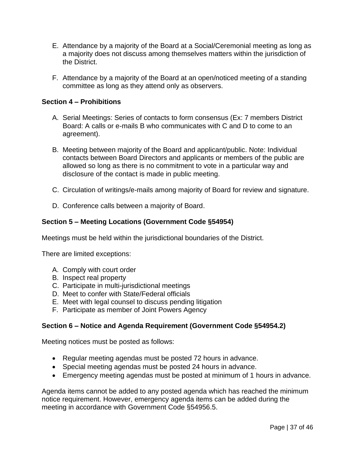- E. Attendance by a majority of the Board at a Social/Ceremonial meeting as long as a majority does not discuss among themselves matters within the jurisdiction of the District.
- F. Attendance by a majority of the Board at an open/noticed meeting of a standing committee as long as they attend only as observers.

## **Section 4 – Prohibitions**

- A. Serial Meetings: Series of contacts to form consensus (Ex: 7 members District Board: A calls or e-mails B who communicates with C and D to come to an agreement).
- B. Meeting between majority of the Board and applicant/public. Note: Individual contacts between Board Directors and applicants or members of the public are allowed so long as there is no commitment to vote in a particular way and disclosure of the contact is made in public meeting.
- C. Circulation of writings/e-mails among majority of Board for review and signature.
- D. Conference calls between a majority of Board.

## **Section 5 – Meeting Locations (Government Code §54954)**

Meetings must be held within the jurisdictional boundaries of the District.

There are limited exceptions:

- A. Comply with court order
- B. Inspect real property
- C. Participate in multi-jurisdictional meetings
- D. Meet to confer with State/Federal officials
- E. Meet with legal counsel to discuss pending litigation
- F. Participate as member of Joint Powers Agency

### **Section 6 – Notice and Agenda Requirement (Government Code §54954.2)**

Meeting notices must be posted as follows:

- Regular meeting agendas must be posted 72 hours in advance.
- Special meeting agendas must be posted 24 hours in advance.
- Emergency meeting agendas must be posted at minimum of 1 hours in advance.

Agenda items cannot be added to any posted agenda which has reached the minimum notice requirement. However, emergency agenda items can be added during the meeting in accordance with Government Code §54956.5.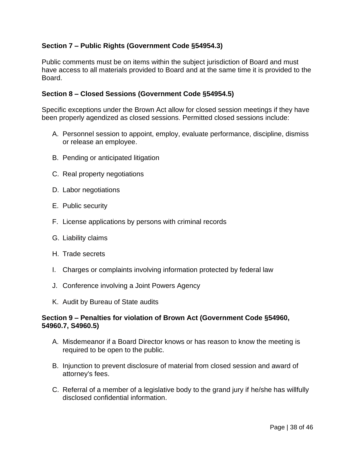## **Section 7 – Public Rights (Government Code §54954.3)**

Public comments must be on items within the subject jurisdiction of Board and must have access to all materials provided to Board and at the same time it is provided to the Board.

## **Section 8 – Closed Sessions (Government Code §54954.5)**

Specific exceptions under the Brown Act allow for closed session meetings if they have been properly agendized as closed sessions. Permitted closed sessions include:

- A. Personnel session to appoint, employ, evaluate performance, discipline, dismiss or release an employee.
- B. Pending or anticipated litigation
- C. Real property negotiations
- D. Labor negotiations
- E. Public security
- F. License applications by persons with criminal records
- G. Liability claims
- H. Trade secrets
- I. Charges or complaints involving information protected by federal law
- J. Conference involving a Joint Powers Agency
- K. Audit by Bureau of State audits

### **Section 9 – Penalties for violation of Brown Act (Government Code §54960, 54960.7, S4960.5)**

- A. Misdemeanor if a Board Director knows or has reason to know the meeting is required to be open to the public.
- B. Injunction to prevent disclosure of material from closed session and award of attorney's fees.
- C. Referral of a member of a legislative body to the grand jury if he/she has willfully disclosed confidential information.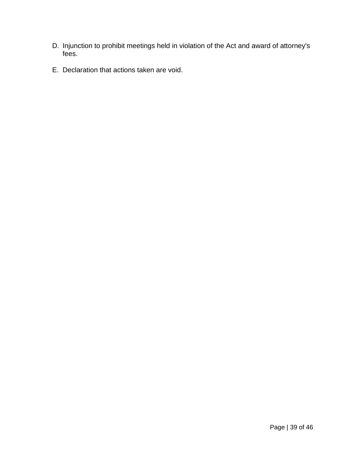- D. Injunction to prohibit meetings held in violation of the Act and award of attorney's fees.
- E. Declaration that actions taken are void.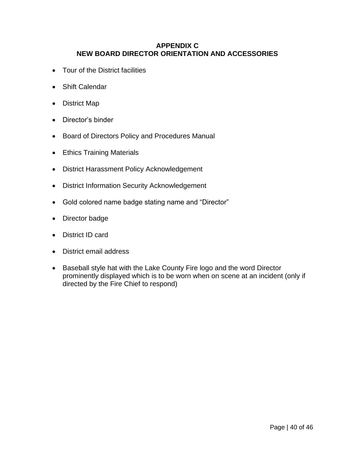## **APPENDIX C NEW BOARD DIRECTOR ORIENTATION AND ACCESSORIES**

- Tour of the District facilities
- Shift Calendar
- District Map
- Director's binder
- Board of Directors Policy and Procedures Manual
- Ethics Training Materials
- District Harassment Policy Acknowledgement
- District Information Security Acknowledgement
- Gold colored name badge stating name and "Director"
- Director badge
- District ID card
- District email address
- Baseball style hat with the Lake County Fire logo and the word Director prominently displayed which is to be worn when on scene at an incident (only if directed by the Fire Chief to respond)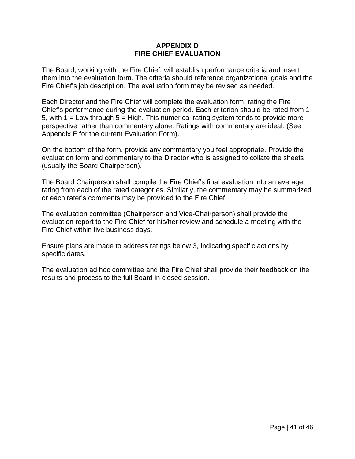#### **APPENDIX D FIRE CHIEF EVALUATION**

The Board, working with the Fire Chief, will establish performance criteria and insert them into the evaluation form. The criteria should reference organizational goals and the Fire Chief's job description. The evaluation form may be revised as needed.

Each Director and the Fire Chief will complete the evaluation form, rating the Fire Chief's performance during the evaluation period. Each criterion should be rated from 1- 5, with  $1 =$  Low through 5 = High. This numerical rating system tends to provide more perspective rather than commentary alone. Ratings with commentary are ideal. (See Appendix E for the current Evaluation Form).

On the bottom of the form, provide any commentary you feel appropriate. Provide the evaluation form and commentary to the Director who is assigned to collate the sheets (usually the Board Chairperson).

The Board Chairperson shall compile the Fire Chief's final evaluation into an average rating from each of the rated categories. Similarly, the commentary may be summarized or each rater's comments may be provided to the Fire Chief.

The evaluation committee (Chairperson and Vice-Chairperson) shall provide the evaluation report to the Fire Chief for his/her review and schedule a meeting with the Fire Chief within five business days.

Ensure plans are made to address ratings below 3, indicating specific actions by specific dates.

The evaluation ad hoc committee and the Fire Chief shall provide their feedback on the results and process to the full Board in closed session.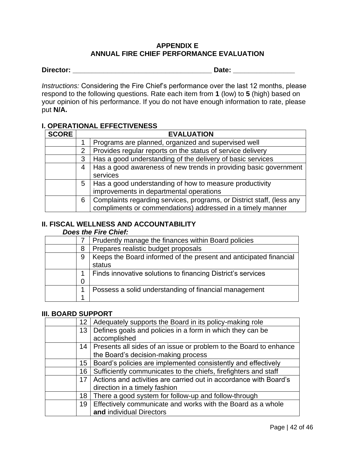## **APPENDIX E ANNUAL FIRE CHIEF PERFORMANCE EVALUATION**

**Director: \_\_\_\_\_\_\_\_\_\_\_\_\_\_\_\_\_\_\_\_\_\_\_\_\_\_\_\_\_\_\_\_\_\_\_\_ Date: \_\_\_\_\_\_\_\_\_\_\_\_\_\_\_\_**

*Instructions:* Considering the Fire Chief's performance over the last 12 months, please respond to the following questions. Rate each item from **1** (low) to **5** (high) based on your opinion of his performance. If you do not have enough information to rate, please put **N/A.**

## **I. OPERATIONAL EFFECTIVENESS**

| <b>SCORE</b> |   | <b>EVALUATION</b>                                                     |  |  |
|--------------|---|-----------------------------------------------------------------------|--|--|
|              |   | Programs are planned, organized and supervised well                   |  |  |
|              | 2 | Provides regular reports on the status of service delivery            |  |  |
|              | 3 | Has a good understanding of the delivery of basic services            |  |  |
|              | 4 | Has a good awareness of new trends in providing basic government      |  |  |
|              |   | services                                                              |  |  |
|              | 5 | Has a good understanding of how to measure productivity               |  |  |
|              |   | improvements in departmental operations                               |  |  |
|              | 6 | Complaints regarding services, programs, or District staff, (less any |  |  |
|              |   | compliments or commendations) addressed in a timely manner            |  |  |

## **II. FISCAL WELLNESS AND ACCOUNTABILITY**

### *Does the Fire Chief:*

|   | Prudently manage the finances within Board policies               |
|---|-------------------------------------------------------------------|
| 8 | Prepares realistic budget proposals                               |
| 9 | Keeps the Board informed of the present and anticipated financial |
|   | status                                                            |
|   | Finds innovative solutions to financing District's services       |
| 0 |                                                                   |
|   | Possess a solid understanding of financial management             |
|   |                                                                   |

## **III. BOARD SUPPORT**

|                 | 12   Adequately supports the Board in its policy-making role           |
|-----------------|------------------------------------------------------------------------|
| 13 <sup>°</sup> | Defines goals and policies in a form in which they can be              |
|                 | accomplished                                                           |
|                 | 14   Presents all sides of an issue or problem to the Board to enhance |
|                 | the Board's decision-making process                                    |
|                 | 15   Board's policies are implemented consistently and effectively     |
| 16 <sup>1</sup> | Sufficiently communicates to the chiefs, firefighters and staff        |
| 17              | Actions and activities are carried out in accordance with Board's      |
|                 | direction in a timely fashion                                          |
| 18              | There a good system for follow-up and follow-through                   |
| 19              | Effectively communicate and works with the Board as a whole            |
|                 | and individual Directors                                               |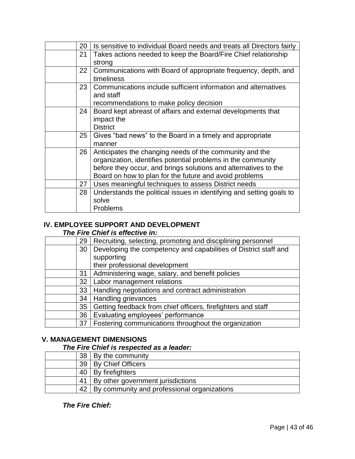| 20              | Is sensitive to individual Board needs and treats all Directors fairly |
|-----------------|------------------------------------------------------------------------|
| 21              | Takes actions needed to keep the Board/Fire Chief relationship         |
|                 | strong                                                                 |
| 22 <sub>2</sub> | Communications with Board of appropriate frequency, depth, and         |
|                 | timeliness                                                             |
| 23              | Communications include sufficient information and alternatives         |
|                 | and staff                                                              |
|                 | recommendations to make policy decision                                |
| 24              | Board kept abreast of affairs and external developments that           |
|                 | impact the                                                             |
|                 | <b>District</b>                                                        |
| 25              | Gives "bad news" to the Board in a timely and appropriate              |
|                 | manner                                                                 |
| 26              | Anticipates the changing needs of the community and the                |
|                 | organization, identifies potential problems in the community           |
|                 | before they occur, and brings solutions and alternatives to the        |
|                 | Board on how to plan for the future and avoid problems                 |
| 27              | Uses meaningful techniques to assess District needs                    |
| 28              | Understands the political issues in identifying and setting goals to   |
|                 | solve                                                                  |
|                 | Problems                                                               |

## **IV. EMPLOYEE SUPPORT AND DEVELOPMENT**

## *The Fire Chief is effective in:*

| 29 | Recruiting, selecting, promoting and disciplining personnel      |
|----|------------------------------------------------------------------|
| 30 | Developing the competency and capabilities of District staff and |
|    | supporting                                                       |
|    | their professional development                                   |
| 31 | Administering wage, salary, and benefit policies                 |
| 32 | Labor management relations                                       |
| 33 | Handling negotiations and contract administration                |
| 34 | Handling grievances                                              |
| 35 | Getting feedback from chief officers, firefighters and staff     |
| 36 | Evaluating employees' performance                                |
| 37 | Fostering communications throughout the organization             |

## **V. MANAGEMENT DIMENSIONS**

## *The Fire Chief is respected as a leader:*

| 38 | By the community                                 |
|----|--------------------------------------------------|
|    | 39   By Chief Officers                           |
|    | 40   By firefighters                             |
| 41 | By other government jurisdictions                |
|    | 42   By community and professional organizations |

*The Fire Chief:*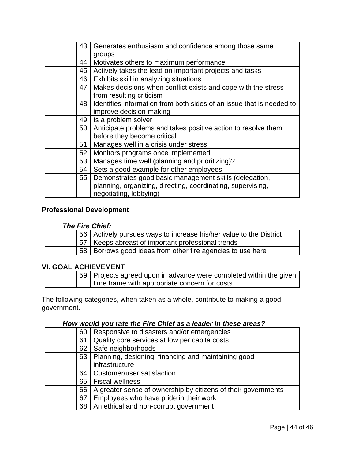| 43 | Generates enthusiasm and confidence among those same                 |
|----|----------------------------------------------------------------------|
|    | groups                                                               |
| 44 | Motivates others to maximum performance                              |
| 45 | Actively takes the lead on important projects and tasks              |
| 46 | Exhibits skill in analyzing situations                               |
| 47 | Makes decisions when conflict exists and cope with the stress        |
|    | from resulting criticism                                             |
| 48 | Identifies information from both sides of an issue that is needed to |
|    | improve decision-making                                              |
| 49 | Is a problem solver                                                  |
| 50 | Anticipate problems and takes positive action to resolve them        |
|    | before they become critical                                          |
| 51 | Manages well in a crisis under stress                                |
| 52 | Monitors programs once implemented                                   |
| 53 | Manages time well (planning and prioritizing)?                       |
| 54 | Sets a good example for other employees                              |
| 55 | Demonstrates good basic management skills (delegation,               |
|    | planning, organizing, directing, coordinating, supervising,          |
|    | negotiating, lobbying)                                               |

## **Professional Development**

#### *The Fire Chief:*

| 56 Actively pursues ways to increase his/her value to the District |
|--------------------------------------------------------------------|
| 57   Keeps abreast of important professional trends                |
| 58   Borrows good ideas from other fire agencies to use here       |

### **VI. GOAL ACHIEVEMENT**

| 59 Projects agreed upon in advance were completed within the given |
|--------------------------------------------------------------------|
| time frame with appropriate concern for costs                      |

The following categories, when taken as a whole, contribute to making a good government.

## *How would you rate the Fire Chief as a leader in these areas?*

| 60 | Responsive to disasters and/or emergencies                    |  |
|----|---------------------------------------------------------------|--|
| 61 | Quality core services at low per capita costs                 |  |
|    | 62   Safe neighborhoods                                       |  |
|    | 63   Planning, designing, financing and maintaining good      |  |
|    | infrastructure                                                |  |
| 64 | <b>Customer/user satisfaction</b>                             |  |
| 65 | <b>Fiscal wellness</b>                                        |  |
| 66 | A greater sense of ownership by citizens of their governments |  |
| 67 | Employees who have pride in their work                        |  |
|    | 68   An ethical and non-corrupt government                    |  |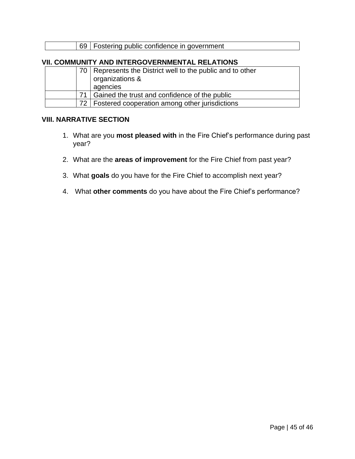|  | 69   Fostering public confidence in government |
|--|------------------------------------------------|
|  |                                                |

## **VII. COMMUNITY AND INTERGOVERNMENTAL RELATIONS**

| 70   Represents the District well to the public and to other<br>organizations & |                                               |
|---------------------------------------------------------------------------------|-----------------------------------------------|
|                                                                                 | agencies                                      |
|                                                                                 | Gained the trust and confidence of the public |
| Fostered cooperation among other jurisdictions                                  |                                               |

#### **VIII. NARRATIVE SECTION**

- 1. What are you **most pleased with** in the Fire Chief's performance during past year?
- 2. What are the **areas of improvement** for the Fire Chief from past year?
- 3. What **goals** do you have for the Fire Chief to accomplish next year?
- 4. What **other comments** do you have about the Fire Chief's performance?